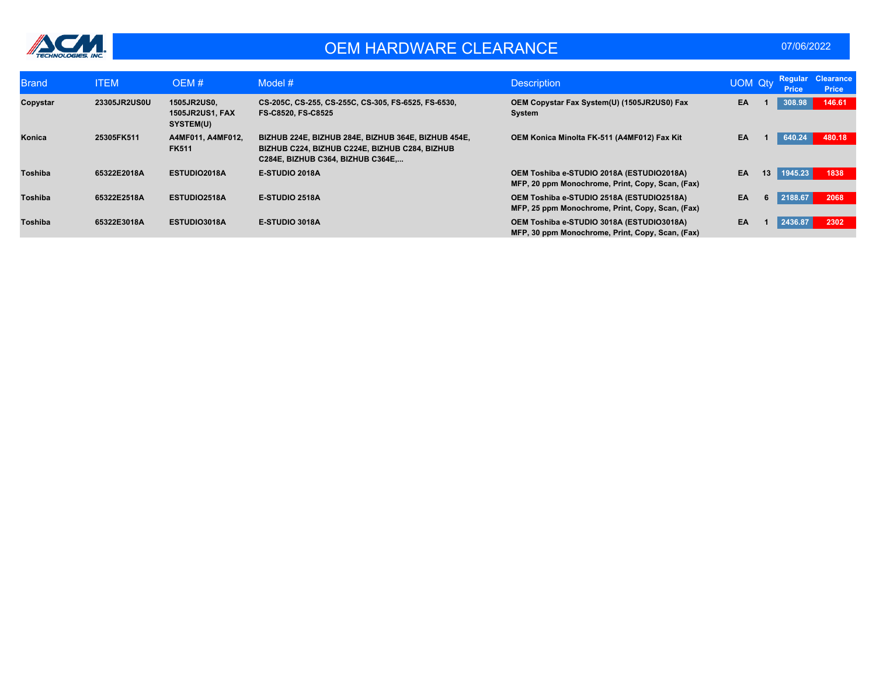

### OEM HARDWARE CLEARANCE **CLEARANCE DEM 197/06/2022**

| <b>Brand</b>   | <b>ITEM</b>         | OEM#                                                             | Model $#$                                                                                                                                  | <b>Description</b>                                                                            | <b>UOM Qty</b> |    | Regular<br><b>Price</b> | <b>Clearance</b><br><b>Price</b> |
|----------------|---------------------|------------------------------------------------------------------|--------------------------------------------------------------------------------------------------------------------------------------------|-----------------------------------------------------------------------------------------------|----------------|----|-------------------------|----------------------------------|
| Copystar       | <b>23305JR2US0U</b> | <b>1505JR2US0.</b><br><b>1505JR2US1, FAX</b><br><b>SYSTEM(U)</b> | CS-205C, CS-255, CS-255C, CS-305, FS-6525, FS-6530,<br>FS-C8520, FS-C8525                                                                  | OEM Copystar Fax System(U) (1505JR2US0) Fax<br>System                                         | EA.            |    | 308.98                  | 146.61                           |
| Konica         | 25305FK511          | A4MF011, A4MF012,<br><b>FK511</b>                                | BIZHUB 224E, BIZHUB 284E, BIZHUB 364E, BIZHUB 454E,<br>BIZHUB C224, BIZHUB C224E, BIZHUB C284, BIZHUB<br>C284E, BIZHUB C364, BIZHUB C364E, | OEM Konica Minolta FK-511 (A4MF012) Fax Kit                                                   | EA             |    | 640.24                  | 480.18                           |
| Toshiba        | 65322E2018A         | ESTUDIO2018A                                                     | E-STUDIO 2018A                                                                                                                             | OEM Toshiba e-STUDIO 2018A (ESTUDIO2018A)<br>MFP, 20 ppm Monochrome, Print, Copy, Scan, (Fax) | EA             | 13 | 1945.23                 | 1838                             |
| <b>Toshiba</b> | 65322E2518A         | ESTUDIO2518A                                                     | <b>E-STUDIO 2518A</b>                                                                                                                      | OEM Toshiba e-STUDIO 2518A (ESTUDIO2518A)<br>MFP, 25 ppm Monochrome, Print, Copy, Scan, (Fax) | EA             | 6  | 2188.67                 | 2068                             |
| Toshiba        | 65322E3018A         | ESTUDIO3018A                                                     | E-STUDIO 3018A                                                                                                                             | OEM Toshiba e-STUDIO 3018A (ESTUDIO3018A)<br>MFP, 30 ppm Monochrome, Print, Copy, Scan, (Fax) | EA             |    | 2436.87                 | 2302                             |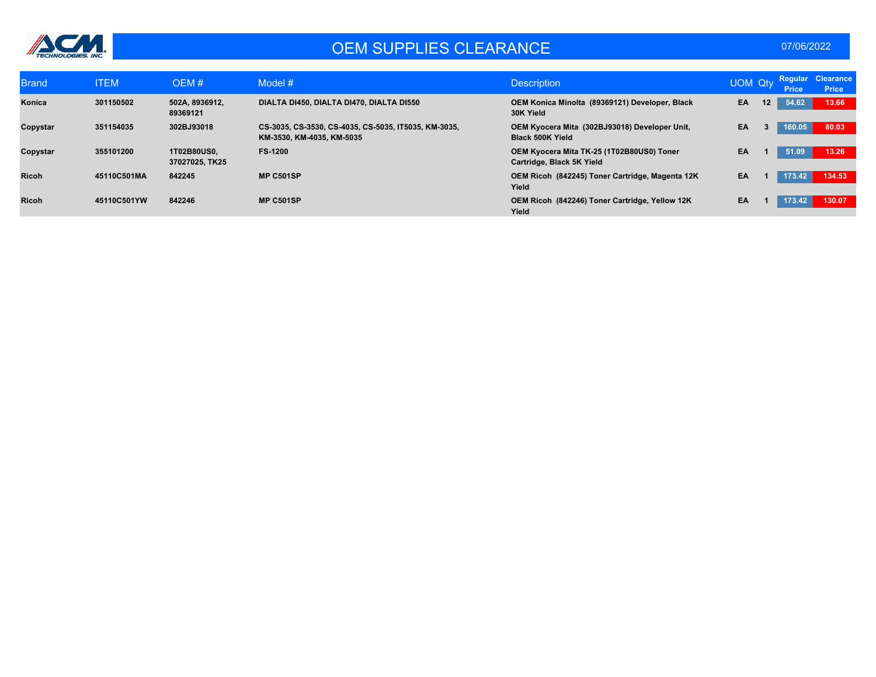

## OEM SUPPLIES CLEARANCE 07/06/2022

| <b>Brand</b> | <b>ITEM</b> | OEM#                          | Model #                                                                           | <b>Description</b>                                                       | <b>UOM Qty</b> |                   | <b>Price</b> | Regular Clearance<br><b>Price</b> |
|--------------|-------------|-------------------------------|-----------------------------------------------------------------------------------|--------------------------------------------------------------------------|----------------|-------------------|--------------|-----------------------------------|
| Konica       | 301150502   | 502A, 8936912,<br>89369121    | DIALTA DI450, DIALTA DI470, DIALTA DI550                                          | OEM Konica Minolta (89369121) Developer, Black<br>30K Yield              | EA             | $12 \overline{ }$ | 54.62        | 13.66                             |
| Copystar     | 351154035   | 302BJ93018                    | CS-3035, CS-3530, CS-4035, CS-5035, IT5035, KM-3035,<br>KM-3530, KM-4035, KM-5035 | OEM Kyocera Mita (302BJ93018) Developer Unit,<br><b>Black 500K Yield</b> | EA             |                   | 160.05       | 80.03                             |
| Copystar     | 355101200   | 1T02B80US0.<br>37027025, TK25 | <b>FS-1200</b>                                                                    | OEM Kyocera Mita TK-25 (1T02B80US0) Toner<br>Cartridge, Black 5K Yield   | EA             |                   | 51.09        | 13.26                             |
| <b>Ricoh</b> | 45110C501MA | 842245                        | <b>MP C501SP</b>                                                                  | OEM Ricoh (842245) Toner Cartridge, Magenta 12K<br>Yield                 | EA             |                   | 173.42       | 134.53                            |
| <b>Ricoh</b> | 45110C501YW | 842246                        | <b>MP C501SP</b>                                                                  | OEM Ricoh (842246) Toner Cartridge, Yellow 12K<br>Yield                  | EA             |                   | 173.42       | 130.07                            |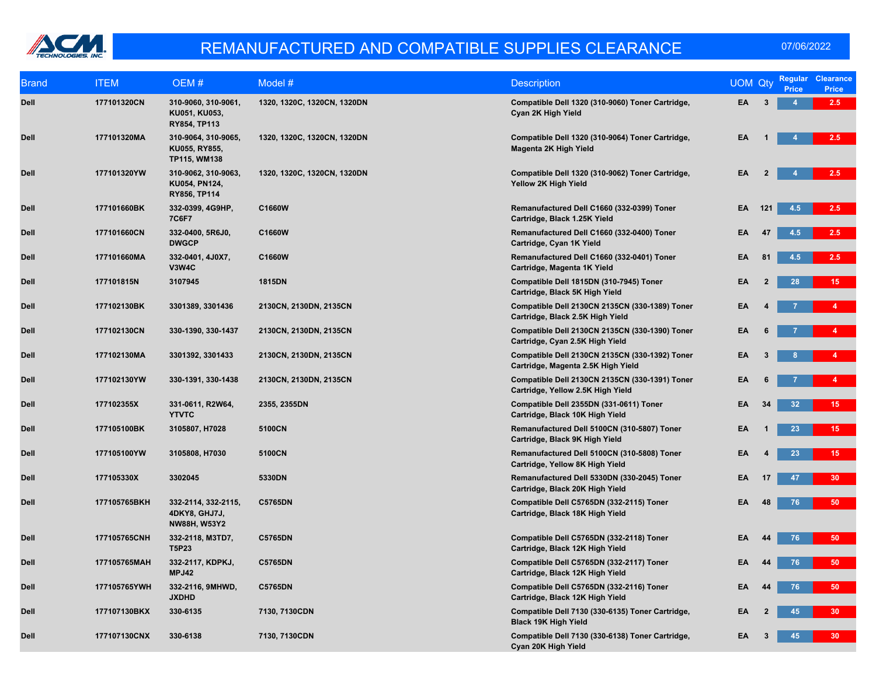

| <b>Brand</b> | <b>ITEM</b>  | OEM#                                                        | Model #                     | <b>Description</b>                                                                   | <b>UOM Qty</b> |                | <b>Regular</b><br><b>Price</b> | <b>Clearance</b><br><b>Price</b> |
|--------------|--------------|-------------------------------------------------------------|-----------------------------|--------------------------------------------------------------------------------------|----------------|----------------|--------------------------------|----------------------------------|
| Dell         | 177101320CN  | 310-9060, 310-9061,<br>KU051, KU053,<br>RY854, TP113        | 1320, 1320C, 1320CN, 1320DN | Compatible Dell 1320 (310-9060) Toner Cartridge,<br>Cyan 2K High Yield               | EA             | $\mathbf{3}$   | 4                              | 2.5                              |
| <b>Dell</b>  | 177101320MA  | 310-9064, 310-9065,<br>KU055, RY855,<br>TP115, WM138        | 1320, 1320C, 1320CN, 1320DN | Compatible Dell 1320 (310-9064) Toner Cartridge,<br>Magenta 2K High Yield            | EA             |                |                                | 2.5                              |
| Dell         | 177101320YW  | 310-9062, 310-9063,<br>KU054, PN124,<br>RY856, TP114        | 1320, 1320C, 1320CN, 1320DN | Compatible Dell 1320 (310-9062) Toner Cartridge,<br>Yellow 2K High Yield             | EA             | $\mathbf{2}$   |                                | 2.5                              |
| Dell         | 177101660BK  | 332-0399, 4G9HP,<br>7C6F7                                   | C1660W                      | Remanufactured Dell C1660 (332-0399) Toner<br>Cartridge, Black 1.25K Yield           | EA             | 121            | 4.5                            | 2.5                              |
| Dell         | 177101660CN  | 332-0400, 5R6J0,<br><b>DWGCP</b>                            | C1660W                      | Remanufactured Dell C1660 (332-0400) Toner<br>Cartridge, Cyan 1K Yield               | EA             | 47             | 4.5                            | 2.5                              |
| <b>Dell</b>  | 177101660MA  | 332-0401, 4J0X7,<br>V3W4C                                   | C1660W                      | Remanufactured Dell C1660 (332-0401) Toner<br>Cartridge, Magenta 1K Yield            | EA             | 81             | 4.5                            | 2.5                              |
| Dell         | 177101815N   | 3107945                                                     | <b>1815DN</b>               | Compatible Dell 1815DN (310-7945) Toner<br>Cartridge, Black 5K High Yield            | EA             | $\overline{2}$ | 28                             | 15 <sub>1</sub>                  |
| Dell         | 177102130BK  | 3301389, 3301436                                            | 2130CN, 2130DN, 2135CN      | Compatible Dell 2130CN 2135CN (330-1389) Toner<br>Cartridge, Black 2.5K High Yield   | EA             |                |                                |                                  |
| <b>Dell</b>  | 177102130CN  | 330-1390, 330-1437                                          | 2130CN, 2130DN, 2135CN      | Compatible Dell 2130CN 2135CN (330-1390) Toner<br>Cartridge, Cyan 2.5K High Yield    | EA             |                |                                | 4                                |
| Dell         | 177102130MA  | 3301392, 3301433                                            | 2130CN, 2130DN, 2135CN      | Compatible Dell 2130CN 2135CN (330-1392) Toner<br>Cartridge, Magenta 2.5K High Yield | EA             |                |                                | 4                                |
| Dell         | 177102130YW  | 330-1391, 330-1438                                          | 2130CN, 2130DN, 2135CN      | Compatible Dell 2130CN 2135CN (330-1391) Toner<br>Cartridge, Yellow 2.5K High Yield  | EA             |                |                                | 4 <sup>1</sup>                   |
| <b>Dell</b>  | 177102355X   | 331-0611, R2W64,<br><b>YTVTC</b>                            | 2355, 2355DN                | Compatible Dell 2355DN (331-0611) Toner<br>Cartridge, Black 10K High Yield           | EA             | 34             | 32                             | 15 <sub>1</sub>                  |
| Dell         | 177105100BK  | 3105807, H7028                                              | 5100CN                      | Remanufactured Dell 5100CN (310-5807) Toner<br>Cartridge, Black 9K High Yield        | EA             |                | 23                             | 15 <sub>1</sub>                  |
| <b>Dell</b>  | 177105100YW  | 3105808, H7030                                              | 5100CN                      | Remanufactured Dell 5100CN (310-5808) Toner<br>Cartridge, Yellow 8K High Yield       | EA             |                | 23                             | 15 <sub>1</sub>                  |
| <b>Dell</b>  | 177105330X   | 3302045                                                     | 5330DN                      | Remanufactured Dell 5330DN (330-2045) Toner<br>Cartridge, Black 20K High Yield       | EA             | 17             | 47                             | 30 <sub>2</sub>                  |
| Dell         | 177105765BKH | 332-2114, 332-2115,<br>4DKY8, GHJ7J,<br><b>NW88H, W53Y2</b> | <b>C5765DN</b>              | Compatible Dell C5765DN (332-2115) Toner<br>Cartridge, Black 18K High Yield          | EA             | 48             | 76                             | 50                               |
| <b>Dell</b>  | 177105765CNH | 332-2118, M3TD7,<br><b>T5P23</b>                            | C5765DN                     | Compatible Dell C5765DN (332-2118) Toner<br>Cartridge, Black 12K High Yield          | EA             | 44             | 76                             | 50                               |
| <b>Dell</b>  | 177105765MAH | 332-2117, KDPKJ,<br>MPJ42                                   | <b>C5765DN</b>              | Compatible Dell C5765DN (332-2117) Toner<br>Cartridge, Black 12K High Yield          | EA             | 44             | 76                             | 50                               |
| <b>Dell</b>  | 177105765YWH | 332-2116, 9MHWD,<br><b>JXDHD</b>                            | <b>C5765DN</b>              | Compatible Dell C5765DN (332-2116) Toner<br>Cartridge, Black 12K High Yield          | EA             | 44             | 76                             | 50                               |
| <b>Dell</b>  | 177107130BKX | 330-6135                                                    | 7130, 7130CDN               | Compatible Dell 7130 (330-6135) Toner Cartridge,<br><b>Black 19K High Yield</b>      | EA             | $\mathbf{2}$   | 45                             | 30 <sub>2</sub>                  |
| Dell         | 177107130CNX | 330-6138                                                    | 7130, 7130CDN               | Compatible Dell 7130 (330-6138) Toner Cartridge,<br>Cyan 20K High Yield              | EA             | 3              | 45                             | 30 <sub>1</sub>                  |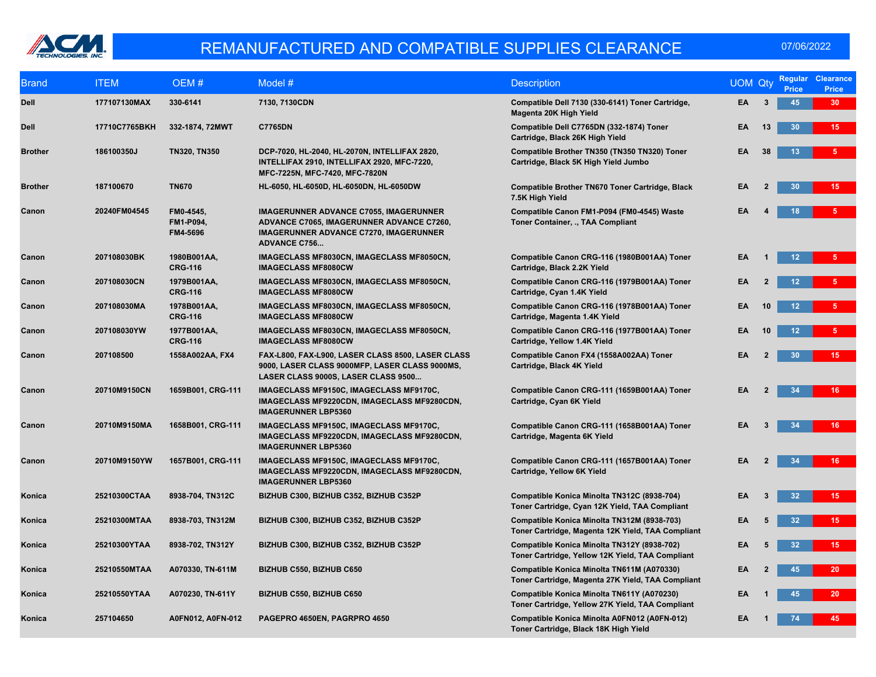

| <b>Brand</b>   | <b>ITEM</b>   | OEM#                               | Model #                                                                                                                                                            | <b>Description</b>                                                                               | <b>UOM Qty</b> |                | <b>Price</b>    | <b>Regular Clearance</b><br><b>Price</b> |
|----------------|---------------|------------------------------------|--------------------------------------------------------------------------------------------------------------------------------------------------------------------|--------------------------------------------------------------------------------------------------|----------------|----------------|-----------------|------------------------------------------|
| <b>Dell</b>    | 177107130MAX  | 330-6141                           | 7130, 7130CDN                                                                                                                                                      | Compatible Dell 7130 (330-6141) Toner Cartridge,<br>Magenta 20K High Yield                       | EA             | 3              | 45              | 30 <sub>2</sub>                          |
| <b>Dell</b>    | 17710C7765BKH | 332-1874, 72MWT                    | <b>C7765DN</b>                                                                                                                                                     | Compatible Dell C7765DN (332-1874) Toner<br>Cartridge, Black 26K High Yield                      | EA             | 13             | 30              | 15 <sub>1</sub>                          |
| <b>Brother</b> | 186100350J    | <b>TN320, TN350</b>                | DCP-7020, HL-2040, HL-2070N, INTELLIFAX 2820,<br>INTELLIFAX 2910, INTELLIFAX 2920, MFC-7220,<br>MFC-7225N, MFC-7420, MFC-7820N                                     | Compatible Brother TN350 (TN350 TN320) Toner<br>Cartridge, Black 5K High Yield Jumbo             | EΑ             | 38             | 13              | 5 <sub>1</sub>                           |
| <b>Brother</b> | 187100670     | <b>TN670</b>                       | HL-6050, HL-6050D, HL-6050DN, HL-6050DW                                                                                                                            | Compatible Brother TN670 Toner Cartridge, Black<br>7.5K High Yield                               | EA             | $\overline{2}$ | 30              | $15-15$                                  |
| Canon          | 20240FM04545  | FM0-4545,<br>FM1-P094,<br>FM4-5696 | <b>IMAGERUNNER ADVANCE C7055, IMAGERUNNER</b><br>ADVANCE C7065, IMAGERUNNER ADVANCE C7260,<br><b>IMAGERUNNER ADVANCE C7270, IMAGERUNNER</b><br><b>ADVANCE C756</b> | Compatible Canon FM1-P094 (FM0-4545) Waste<br>Toner Container, ., TAA Compliant                  | EA             |                | 18              | 5                                        |
| Canon          | 207108030BK   | 1980B001AA,<br><b>CRG-116</b>      | IMAGECLASS MF8030CN, IMAGECLASS MF8050CN,<br><b>IMAGECLASS MF8080CW</b>                                                                                            | Compatible Canon CRG-116 (1980B001AA) Toner<br>Cartridge, Black 2.2K Yield                       | EA             |                | 12 <sub>2</sub> | 5 <sup>1</sup>                           |
| Canon          | 207108030CN   | 1979B001AA,<br><b>CRG-116</b>      | IMAGECLASS MF8030CN, IMAGECLASS MF8050CN,<br><b>IMAGECLASS MF8080CW</b>                                                                                            | Compatible Canon CRG-116 (1979B001AA) Toner<br>Cartridge, Cyan 1.4K Yield                        | EA             |                | 12 <sub>2</sub> | 5 <sup>5</sup>                           |
| Canon          | 207108030MA   | 1978B001AA,<br><b>CRG-116</b>      | IMAGECLASS MF8030CN, IMAGECLASS MF8050CN,<br><b>IMAGECLASS MF8080CW</b>                                                                                            | Compatible Canon CRG-116 (1978B001AA) Toner<br>Cartridge, Magenta 1.4K Yield                     | EA             | 10             | 12              | 5 <sup>1</sup>                           |
| Canon          | 207108030YW   | 1977B001AA,<br><b>CRG-116</b>      | IMAGECLASS MF8030CN, IMAGECLASS MF8050CN,<br><b>IMAGECLASS MF8080CW</b>                                                                                            | Compatible Canon CRG-116 (1977B001AA) Toner<br>Cartridge, Yellow 1.4K Yield                      | EA             | 10             | 12              | 5 <sub>1</sub>                           |
| Canon          | 207108500     | 1558A002AA, FX4                    | FAX-L800, FAX-L900, LASER CLASS 8500, LASER CLASS<br>9000, LASER CLASS 9000MFP, LASER CLASS 9000MS,<br>LASER CLASS 9000S, LASER CLASS 9500                         | Compatible Canon FX4 (1558A002AA) Toner<br>Cartridge, Black 4K Yield                             | EA             |                | 30              | 15 <sub>1</sub>                          |
| Canon          | 20710M9150CN  | 1659B001, CRG-111                  | IMAGECLASS MF9150C, IMAGECLASS MF9170C,<br>IMAGECLASS MF9220CDN, IMAGECLASS MF9280CDN,<br><b>IMAGERUNNER LBP5360</b>                                               | Compatible Canon CRG-111 (1659B001AA) Toner<br>Cartridge, Cyan 6K Yield                          | EA             | 2              | 34              | 16 <sup>°</sup>                          |
| Canon          | 20710M9150MA  | 1658B001, CRG-111                  | IMAGECLASS MF9150C, IMAGECLASS MF9170C,<br>IMAGECLASS MF9220CDN, IMAGECLASS MF9280CDN,<br><b>IMAGERUNNER LBP5360</b>                                               | Compatible Canon CRG-111 (1658B001AA) Toner<br>Cartridge, Magenta 6K Yield                       | EA             |                | 34              | 16                                       |
| Canon          | 20710M9150YW  | 1657B001, CRG-111                  | IMAGECLASS MF9150C, IMAGECLASS MF9170C,<br>IMAGECLASS MF9220CDN, IMAGECLASS MF9280CDN,<br><b>IMAGERUNNER LBP5360</b>                                               | Compatible Canon CRG-111 (1657B001AA) Toner<br>Cartridge, Yellow 6K Yield                        | EA             |                | 34              | $16-1$                                   |
| Konica         | 25210300CTAA  | 8938-704, TN312C                   | BIZHUB C300, BIZHUB C352, BIZHUB C352P                                                                                                                             | Compatible Konica Minolta TN312C (8938-704)<br>Toner Cartridge, Cyan 12K Yield, TAA Compliant    | EA             | 3              | 32              | 15 <sub>1</sub>                          |
| Konica         | 25210300MTAA  | 8938-703, TN312M                   | BIZHUB C300, BIZHUB C352, BIZHUB C352P                                                                                                                             | Compatible Konica Minolta TN312M (8938-703)<br>Toner Cartridge, Magenta 12K Yield, TAA Compliant | EA             |                | 32              | 15 <sub>1</sub>                          |
| Konica         | 25210300YTAA  | 8938-702, TN312Y                   | BIZHUB C300, BIZHUB C352, BIZHUB C352P                                                                                                                             | Compatible Konica Minolta TN312Y (8938-702)<br>Toner Cartridge, Yellow 12K Yield, TAA Compliant  | EA             | 5              | 32              | 15 <sub>1</sub>                          |
| Konica         | 25210550MTAA  | A070330, TN-611M                   | BIZHUB C550, BIZHUB C650                                                                                                                                           | Compatible Konica Minolta TN611M (A070330)<br>Toner Cartridge, Magenta 27K Yield, TAA Compliant  | EA             |                | 45              | 20 <sub>2</sub>                          |
| Konica         | 25210550YTAA  | A070230, TN-611Y                   | BIZHUB C550, BIZHUB C650                                                                                                                                           | Compatible Konica Minolta TN611Y (A070230)<br>Toner Cartridge, Yellow 27K Yield, TAA Compliant   | EA             |                | 45              | 20 <sub>2</sub>                          |
| Konica         | 257104650     | A0FN012, A0FN-012                  | PAGEPRO 4650EN, PAGRPRO 4650                                                                                                                                       | Compatible Konica Minolta A0FN012 (A0FN-012)<br>Toner Cartridge, Black 18K High Yield            | EA             |                | 74              | 45                                       |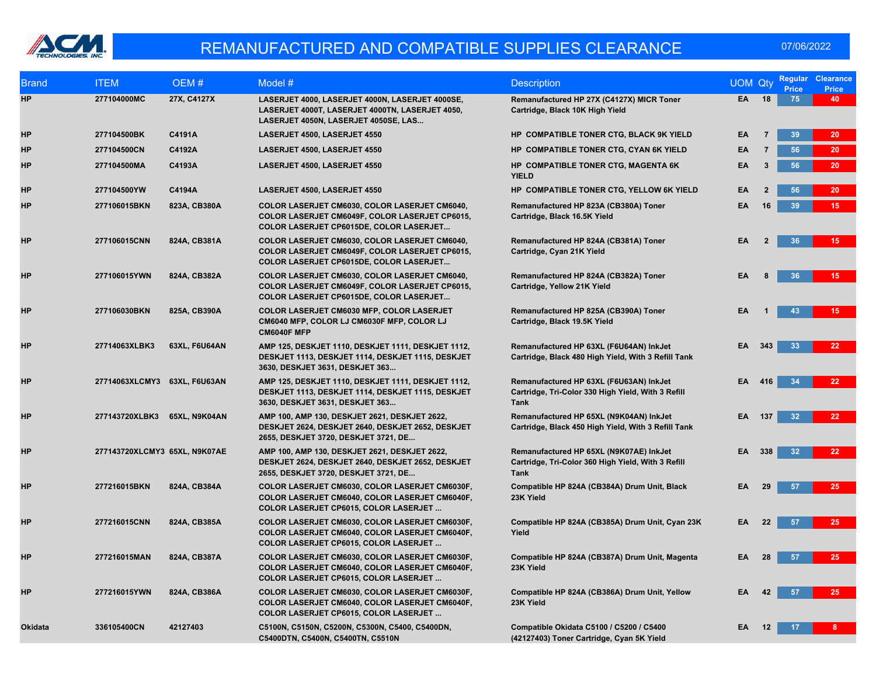

| <b>Brand</b>   | <b>ITEM</b>                   | OEM#          | Model #                                                                                                                                           | <b>Description</b>                                                                                           | <b>UOM Qty</b> |                | <b>Regular</b><br><b>Price</b> | <b>Clearance</b><br><b>Price</b> |
|----------------|-------------------------------|---------------|---------------------------------------------------------------------------------------------------------------------------------------------------|--------------------------------------------------------------------------------------------------------------|----------------|----------------|--------------------------------|----------------------------------|
| <b>HP</b>      | 277104000MC                   | 27X, C4127X   | LASERJET 4000, LASERJET 4000N, LASERJET 4000SE,<br>LASERJET 4000T, LASERJET 4000TN, LASERJET 4050,<br>LASERJET 4050N, LASERJET 4050SE, LAS        | Remanufactured HP 27X (C4127X) MICR Toner<br>Cartridge, Black 10K High Yield                                 | EA             | 18             | 75                             | 40                               |
| HP             | 277104500BK                   | C4191A        | LASERJET 4500, LASERJET 4550                                                                                                                      | HP COMPATIBLE TONER CTG, BLACK 9K YIELD                                                                      | EA             | $\overline{7}$ | 39                             | 20 <sup>°</sup>                  |
| HP             | 277104500CN                   | C4192A        | LASERJET 4500, LASERJET 4550                                                                                                                      | HP COMPATIBLE TONER CTG, CYAN 6K YIELD                                                                       | EA             | $\overline{7}$ | 56                             | 20                               |
| HP             | 277104500MA                   | C4193A        | LASERJET 4500, LASERJET 4550                                                                                                                      | HP COMPATIBLE TONER CTG, MAGENTA 6K<br><b>YIELD</b>                                                          | EA             | $\mathbf{3}$   | 56                             | 20                               |
| HP             | 277104500YW                   | C4194A        | LASERJET 4500, LASERJET 4550                                                                                                                      | HP COMPATIBLE TONER CTG, YELLOW 6K YIELD                                                                     | EA             | $\mathbf{2}$   | 56                             | 20 <sub>2</sub>                  |
| <b>HP</b>      | 277106015BKN                  | 823A, CB380A  | COLOR LASERJET CM6030, COLOR LASERJET CM6040,<br>COLOR LASERJET CM6049F, COLOR LASERJET CP6015,<br>COLOR LASERJET CP6015DE, COLOR LASERJET        | Remanufactured HP 823A (CB380A) Toner<br>Cartridge, Black 16.5K Yield                                        | EA             | 16             | 39                             | 15 <sub>1</sub>                  |
| HP             | 277106015CNN                  | 824A, CB381A  | COLOR LASERJET CM6030, COLOR LASERJET CM6040,<br>COLOR LASERJET CM6049F, COLOR LASERJET CP6015,<br>COLOR LASERJET CP6015DE, COLOR LASERJET        | Remanufactured HP 824A (CB381A) Toner<br>Cartridge, Cyan 21K Yield                                           | EA             |                | 36                             | 15 <sub>1</sub>                  |
| HP             | 277106015YWN                  | 824A, CB382A  | COLOR LASERJET CM6030, COLOR LASERJET CM6040,<br>COLOR LASERJET CM6049F, COLOR LASERJET CP6015,<br>COLOR LASERJET CP6015DE, COLOR LASERJET        | Remanufactured HP 824A (CB382A) Toner<br>Cartridge, Yellow 21K Yield                                         | EA             |                | 36                             | $15-15$                          |
| HP             | 277106030BKN                  | 825A, CB390A  | <b>COLOR LASERJET CM6030 MFP, COLOR LASERJET</b><br>CM6040 MFP, COLOR LJ CM6030F MFP, COLOR LJ<br>CM6040F MFP                                     | Remanufactured HP 825A (CB390A) Toner<br>Cartridge, Black 19.5K Yield                                        | EA             |                | 43                             | 15 <sub>1</sub>                  |
| HP             | 27714063XLBK3                 | 63XL, F6U64AN | AMP 125, DESKJET 1110, DESKJET 1111, DESKJET 1112,<br>DESKJET 1113, DESKJET 1114, DESKJET 1115, DESKJET<br>3630, DESKJET 3631, DESKJET 363        | Remanufactured HP 63XL (F6U64AN) InkJet<br>Cartridge, Black 480 High Yield, With 3 Refill Tank               | EA             | 343            | 33                             | 22                               |
| HP             | 27714063XLCMY3 63XL, F6U63AN  |               | AMP 125, DESKJET 1110, DESKJET 1111, DESKJET 1112,<br>DESKJET 1113, DESKJET 1114, DESKJET 1115, DESKJET<br>3630, DESKJET 3631, DESKJET 363        | Remanufactured HP 63XL (F6U63AN) InkJet<br>Cartridge, Tri-Color 330 High Yield, With 3 Refill<br>Tank        | EA             | 416            | 34                             | 22                               |
| HP             | 277143720XLBK3 65XL, N9K04AN  |               | AMP 100, AMP 130, DESKJET 2621, DESKJET 2622,<br>DESKJET 2624, DESKJET 2640, DESKJET 2652, DESKJET<br>2655, DESKJET 3720, DESKJET 3721, DE        | Remanufactured HP 65XL (N9K04AN) InkJet<br>Cartridge, Black 450 High Yield, With 3 Refill Tank               | EA             | 137            | 32                             | 22 <sub>2</sub>                  |
| <b>HP</b>      | 277143720XLCMY3 65XL, N9K07AE |               | AMP 100, AMP 130, DESKJET 2621, DESKJET 2622,<br>DESKJET 2624, DESKJET 2640, DESKJET 2652, DESKJET<br>2655, DESKJET 3720, DESKJET 3721, DE        | Remanufactured HP 65XL (N9K07AE) InkJet<br>Cartridge, Tri-Color 360 High Yield, With 3 Refill<br><b>Tank</b> | EA             | 338            | 32                             | 22 <sub>2</sub>                  |
| HP             | 277216015BKN                  | 824A, CB384A  | COLOR LASERJET CM6030, COLOR LASERJET CM6030F,<br>COLOR LASERJET CM6040, COLOR LASERJET CM6040F,<br><b>COLOR LASERJET CP6015, COLOR LASERJET</b>  | Compatible HP 824A (CB384A) Drum Unit, Black<br>23K Yield                                                    | EA             | 29             | 57                             | 25                               |
| HP             | 277216015CNN                  | 824A, CB385A  | COLOR LASERJET CM6030, COLOR LASERJET CM6030F,<br>COLOR LASERJET CM6040, COLOR LASERJET CM6040F,<br><b>COLOR LASERJET CP6015, COLOR LASERJET</b>  | Compatible HP 824A (CB385A) Drum Unit, Cyan 23K<br>Yield                                                     | EA             | 22             | 57                             | 25                               |
| HP             | 277216015MAN                  | 824A, CB387A  | COLOR LASERJET CM6030, COLOR LASERJET CM6030F,<br>COLOR LASERJET CM6040, COLOR LASERJET CM6040F,<br>COLOR LASERJET CP6015, COLOR LASERJET         | Compatible HP 824A (CB387A) Drum Unit, Magenta<br>23K Yield                                                  | EA             | 28             | 57                             | 25                               |
| HP             | 277216015YWN                  | 824A, CB386A  | COLOR LASERJET CM6030, COLOR LASERJET CM6030F,<br>COLOR LASERJET CM6040, COLOR LASERJET CM6040F,<br><b>COLOR LASERJET CP6015, COLOR LASERJET </b> | Compatible HP 824A (CB386A) Drum Unit, Yellow<br>23K Yield                                                   | EA             | 42             | 57                             | 25                               |
| <b>Okidata</b> | 336105400CN                   | 42127403      | C5100N, C5150N, C5200N, C5300N, C5400, C5400DN,<br>C5400DTN, C5400N, C5400TN, C5510N                                                              | Compatible Okidata C5100 / C5200 / C5400<br>(42127403) Toner Cartridge, Cyan 5K Yield                        | EA             | 12             | 17                             | 8.                               |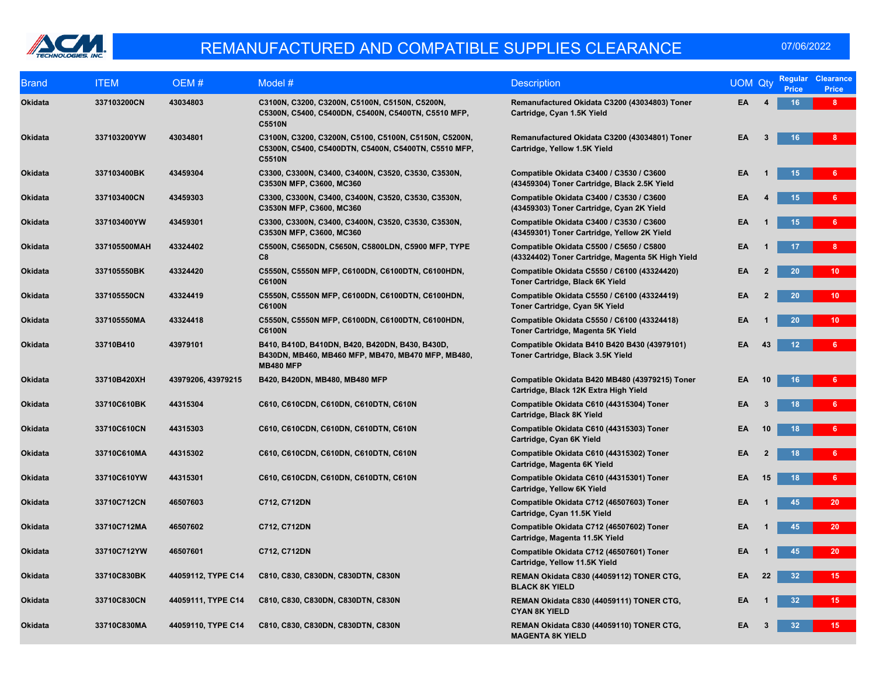

| <b>Brand</b>   | <b>ITEM</b>  | OEM#               | Model $#$                                                                                                                      | <b>Description</b>                                                                            | <b>UOM Qty</b> |                         | Regular<br><b>Price</b> | <b>Clearance</b><br><b>Price</b> |
|----------------|--------------|--------------------|--------------------------------------------------------------------------------------------------------------------------------|-----------------------------------------------------------------------------------------------|----------------|-------------------------|-------------------------|----------------------------------|
| Okidata        | 337103200CN  | 43034803           | C3100N, C3200, C3200N, C5100N, C5150N, C5200N,<br>C5300N, C5400, C5400DN, C5400N, C5400TN, C5510 MFP,<br><b>C5510N</b>         | Remanufactured Okidata C3200 (43034803) Toner<br>Cartridge, Cyan 1.5K Yield                   | EA             |                         | 16                      | 8 <sub>1</sub>                   |
| Okidata        | 337103200YW  | 43034801           | C3100N, C3200, C3200N, C5100, C5100N, C5150N, C5200N,<br>C5300N, C5400, C5400DTN, C5400N, C5400TN, C5510 MFP,<br><b>C5510N</b> | Remanufactured Okidata C3200 (43034801) Toner<br>Cartridge, Yellow 1.5K Yield                 | EA             | $\overline{\mathbf{3}}$ | 16 <sup>°</sup>         | 8 <sup>1</sup>                   |
| Okidata        | 337103400BK  | 43459304           | C3300, C3300N, C3400, C3400N, C3520, C3530, C3530N,<br>C3530N MFP, C3600, MC360                                                | Compatible Okidata C3400 / C3530 / C3600<br>(43459304) Toner Cartridge, Black 2.5K Yield      | EA             |                         | 15 <sub>1</sub>         | 6                                |
| Okidata        | 337103400CN  | 43459303           | C3300, C3300N, C3400, C3400N, C3520, C3530, C3530N,<br>C3530N MFP, C3600, MC360                                                | Compatible Okidata C3400 / C3530 / C3600<br>(43459303) Toner Cartridge, Cyan 2K Yield         | EA             |                         | 15                      | 6 <sup>1</sup>                   |
| <b>Okidata</b> | 337103400YW  | 43459301           | C3300, C3300N, C3400, C3400N, C3520, C3530, C3530N,<br>C3530N MFP, C3600, MC360                                                | Compatible Okidata C3400 / C3530 / C3600<br>(43459301) Toner Cartridge, Yellow 2K Yield       | EA             |                         | 15 <sub>1</sub>         | 6                                |
| Okidata        | 337105500MAH | 43324402           | C5500N, C5650DN, C5650N, C5800LDN, C5900 MFP, TYPE<br>C8                                                                       | Compatible Okidata C5500 / C5650 / C5800<br>(43324402) Toner Cartridge, Magenta 5K High Yield | EA             |                         | 17                      | 8 <sup>1</sup>                   |
| <b>Okidata</b> | 337105550BK  | 43324420           | C5550N, C5550N MFP, C6100DN, C6100DTN, C6100HDN,<br><b>C6100N</b>                                                              | Compatible Okidata C5550 / C6100 (43324420)<br>Toner Cartridge, Black 6K Yield                | EA             |                         | 20                      | 10 <sub>1</sub>                  |
| Okidata        | 337105550CN  | 43324419           | C5550N, C5550N MFP, C6100DN, C6100DTN, C6100HDN,<br><b>C6100N</b>                                                              | Compatible Okidata C5550 / C6100 (43324419)<br>Toner Cartridge, Cyan 5K Yield                 | EA             | $\overline{2}$          | 20                      | 10 <sub>1</sub>                  |
| Okidata        | 337105550MA  | 43324418           | C5550N, C5550N MFP, C6100DN, C6100DTN, C6100HDN,<br><b>C6100N</b>                                                              | Compatible Okidata C5550 / C6100 (43324418)<br>Toner Cartridge, Magenta 5K Yield              | EA             |                         | 20                      | 10 <sub>1</sub>                  |
| Okidata        | 33710B410    | 43979101           | B410, B410D, B410DN, B420, B420DN, B430, B430D,<br>B430DN, MB460, MB460 MFP, MB470, MB470 MFP, MB480,<br><b>MB480 MFP</b>      | Compatible Okidata B410 B420 B430 (43979101)<br>Toner Cartridge, Black 3.5K Yield             | EA             | 43                      | 12 <sub>2</sub>         | $6 -$                            |
| Okidata        | 33710B420XH  | 43979206, 43979215 | B420, B420DN, MB480, MB480 MFP                                                                                                 | Compatible Okidata B420 MB480 (43979215) Toner<br>Cartridge, Black 12K Extra High Yield       | EA             | 10                      | 16 <sup>°</sup>         | $6 -$                            |
| Okidata        | 33710C610BK  | 44315304           | C610, C610CDN, C610DN, C610DTN, C610N                                                                                          | Compatible Okidata C610 (44315304) Toner<br>Cartridge, Black 8K Yield                         | EA             | 3                       | 18                      | 6 <sup>1</sup>                   |
| Okidata        | 33710C610CN  | 44315303           | C610, C610CDN, C610DN, C610DTN, C610N                                                                                          | Compatible Okidata C610 (44315303) Toner<br>Cartridge, Cyan 6K Yield                          | EA             | 10                      | 18                      | 6 <sup>1</sup>                   |
| Okidata        | 33710C610MA  | 44315302           | C610, C610CDN, C610DN, C610DTN, C610N                                                                                          | Compatible Okidata C610 (44315302) Toner<br>Cartridge, Magenta 6K Yield                       | EA             |                         | 18                      | 6                                |
| Okidata        | 33710C610YW  | 44315301           | C610, C610CDN, C610DN, C610DTN, C610N                                                                                          | Compatible Okidata C610 (44315301) Toner<br>Cartridge, Yellow 6K Yield                        | EA             | 15                      | 18                      | $6 -$                            |
| <b>Okidata</b> | 33710C712CN  | 46507603           | C712, C712DN                                                                                                                   | Compatible Okidata C712 (46507603) Toner<br>Cartridge, Cyan 11.5K Yield                       | EA             |                         | 45                      | 20 <sup>°</sup>                  |
| Okidata        | 33710C712MA  | 46507602           | C712, C712DN                                                                                                                   | Compatible Okidata C712 (46507602) Toner<br>Cartridge, Magenta 11.5K Yield                    | EA             |                         | 45                      | 20 <sub>2</sub>                  |
| Okidata        | 33710C712YW  | 46507601           | C712, C712DN                                                                                                                   | Compatible Okidata C712 (46507601) Toner<br>Cartridge, Yellow 11.5K Yield                     | EA             |                         | 45                      | 20                               |
| Okidata        | 33710C830BK  | 44059112, TYPE C14 | C810, C830, C830DN, C830DTN, C830N                                                                                             | REMAN Okidata C830 (44059112) TONER CTG,<br><b>BLACK 8K YIELD</b>                             | EA             | 22                      | 32 <sub>2</sub>         | 15 <sub>1</sub>                  |
| Okidata        | 33710C830CN  | 44059111, TYPE C14 | C810, C830, C830DN, C830DTN, C830N                                                                                             | REMAN Okidata C830 (44059111) TONER CTG,<br><b>CYAN 8K YIELD</b>                              | EA             |                         | 32                      | 15 <sub>1</sub>                  |
| Okidata        | 33710C830MA  | 44059110, TYPE C14 | C810, C830, C830DN, C830DTN, C830N                                                                                             | REMAN Okidata C830 (44059110) TONER CTG,<br><b>MAGENTA 8K YIELD</b>                           | EA             | 3                       | 32                      | 15 <sub>1</sub>                  |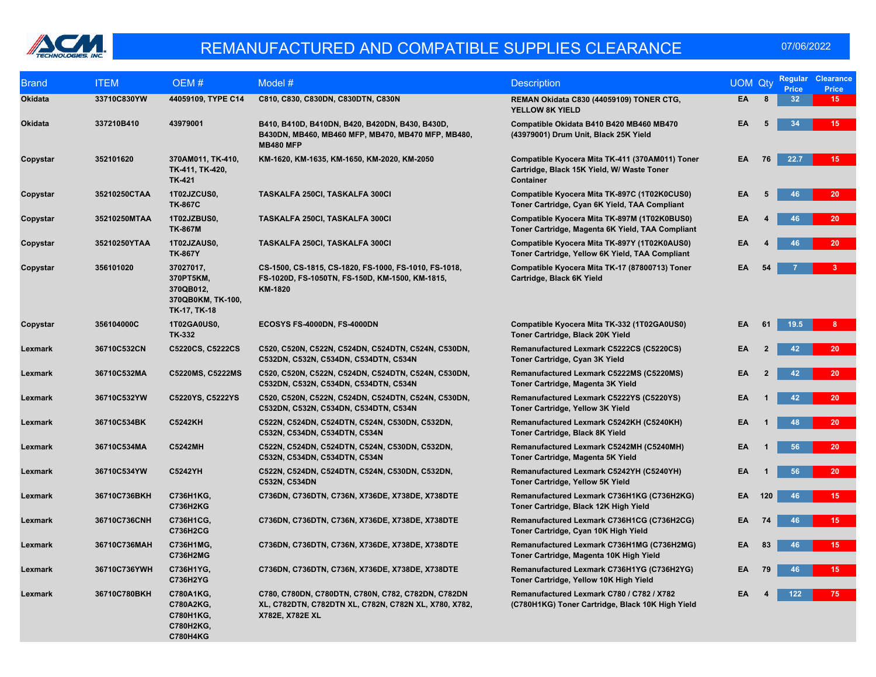

| <b>Brand</b>   | <b>ITEM</b>  | OEM#                                                                     | Model #                                                                                                                        | <b>Description</b>                                                                                                | <b>UOM Qty</b> |                | <b>Regular</b><br><b>Price</b> | <b>Clearance</b><br>Price |
|----------------|--------------|--------------------------------------------------------------------------|--------------------------------------------------------------------------------------------------------------------------------|-------------------------------------------------------------------------------------------------------------------|----------------|----------------|--------------------------------|---------------------------|
| Okidata        | 33710C830YW  | 44059109, TYPE C14                                                       | C810, C830, C830DN, C830DTN, C830N                                                                                             | REMAN Okidata C830 (44059109) TONER CTG,<br><b>YELLOW 8K YIELD</b>                                                | EA             | 8              | 32 <sub>2</sub>                | 15 <sub>1</sub>           |
| <b>Okidata</b> | 337210B410   | 43979001                                                                 | B410, B410D, B410DN, B420, B420DN, B430, B430D,<br>B430DN, MB460, MB460 MFP, MB470, MB470 MFP, MB480,<br><b>MB480 MFP</b>      | Compatible Okidata B410 B420 MB460 MB470<br>(43979001) Drum Unit, Black 25K Yield                                 | EA             | 5              | 34                             | 15                        |
| Copystar       | 352101620    | 370AM011, TK-410,<br>TK-411, TK-420,<br><b>TK-421</b>                    | KM-1620, KM-1635, KM-1650, KM-2020, KM-2050                                                                                    | Compatible Kyocera Mita TK-411 (370AM011) Toner<br>Cartridge, Black 15K Yield, W/ Waste Toner<br><b>Container</b> | EA.            | 76             | 22.7                           | 15                        |
| Copystar       | 35210250CTAA | 1T02JZCUS0,<br><b>TK-867C</b>                                            | TASKALFA 250CI, TASKALFA 300CI                                                                                                 | Compatible Kyocera Mita TK-897C (1T02K0CUS0)<br>Toner Cartridge, Cyan 6K Yield, TAA Compliant                     | EA             | 5              | 46                             | 20 <sup>°</sup>           |
| Copystar       | 35210250MTAA | 1T02JZBUS0,<br><b>TK-867M</b>                                            | <b>TASKALFA 250CI, TASKALFA 300CI</b>                                                                                          | Compatible Kyocera Mita TK-897M (1T02K0BUS0)<br>Toner Cartridge, Magenta 6K Yield, TAA Compliant                  | EA             |                | 46                             | 20 <sup>°</sup>           |
| Copystar       | 35210250YTAA | 1T02JZAUS0,<br><b>TK-867Y</b>                                            | TASKALFA 250CI, TASKALFA 300CI                                                                                                 | Compatible Kyocera Mita TK-897Y (1T02K0AUS0)<br>Toner Cartridge, Yellow 6K Yield, TAA Compliant                   | EA             |                | 46                             | 20 <sub>2</sub>           |
| Copystar       | 356101020    | 37027017,<br>370PT5KM,<br>370QB012,<br>370QB0KM, TK-100,<br>TK-17, TK-18 | CS-1500, CS-1815, CS-1820, FS-1000, FS-1010, FS-1018,<br>FS-1020D, FS-1050TN, FS-150D, KM-1500, KM-1815,<br>KM-1820            | Compatible Kyocera Mita TK-17 (87800713) Toner<br>Cartridge, Black 6K Yield                                       | EA             | 54             |                                |                           |
| Copystar       | 356104000C   | 1T02GA0US0,<br><b>TK-332</b>                                             | ECOSYS FS-4000DN, FS-4000DN                                                                                                    | Compatible Kyocera Mita TK-332 (1T02GA0US0)<br>Toner Cartridge, Black 20K Yield                                   | EA             | 61             | 19.5                           | 8                         |
| Lexmark        | 36710C532CN  | C5220CS, C5222CS                                                         | C520, C520N, C522N, C524DN, C524DTN, C524N, C530DN,<br>C532DN, C532N, C534DN, C534DTN, C534N                                   | Remanufactured Lexmark C5222CS (C5220CS)<br>Toner Cartridge, Cyan 3K Yield                                        | EA             |                | 42                             | 20                        |
| Lexmark        | 36710C532MA  | C5220MS, C5222MS                                                         | C520, C520N, C522N, C524DN, C524DTN, C524N, C530DN,<br>C532DN, C532N, C534DN, C534DTN, C534N                                   | Remanufactured Lexmark C5222MS (C5220MS)<br>Toner Cartridge, Magenta 3K Yield                                     | EA             | $\overline{2}$ | 42                             | 20                        |
| Lexmark        | 36710C532YW  | C5220YS, C5222YS                                                         | C520, C520N, C522N, C524DN, C524DTN, C524N, C530DN,<br>C532DN, C532N, C534DN, C534DTN, C534N                                   | Remanufactured Lexmark C5222YS (C5220YS)<br>Toner Cartridge, Yellow 3K Yield                                      | EA             |                | 42                             | 20 <sub>2</sub>           |
| Lexmark        | 36710C534BK  | <b>C5242KH</b>                                                           | C522N, C524DN, C524DTN, C524N, C530DN, C532DN,<br>C532N, C534DN, C534DTN, C534N                                                | Remanufactured Lexmark C5242KH (C5240KH)<br>Toner Cartridge, Black 8K Yield                                       | EA             |                | 48                             | 20 <sup>°</sup>           |
| Lexmark        | 36710C534MA  | <b>C5242MH</b>                                                           | C522N, C524DN, C524DTN, C524N, C530DN, C532DN,<br>C532N, C534DN, C534DTN, C534N                                                | Remanufactured Lexmark C5242MH (C5240MH)<br>Toner Cartridge, Magenta 5K Yield                                     | EA             |                | 56                             | 20                        |
| Lexmark        | 36710C534YW  | <b>C5242YH</b>                                                           | C522N, C524DN, C524DTN, C524N, C530DN, C532DN,<br>C532N, C534DN                                                                | Remanufactured Lexmark C5242YH (C5240YH)<br>Toner Cartridge, Yellow 5K Yield                                      | EA             |                | 56                             | 20                        |
| Lexmark        | 36710C736BKH | C736H1KG,<br><b>C736H2KG</b>                                             | C736DN, C736DTN, C736N, X736DE, X738DE, X738DTE                                                                                | Remanufactured Lexmark C736H1KG (C736H2KG)<br>Toner Cartridge, Black 12K High Yield                               | EA             | 120            | 46                             | 15                        |
| Lexmark        | 36710C736CNH | C736H1CG,<br><b>C736H2CG</b>                                             | C736DN, C736DTN, C736N, X736DE, X738DE, X738DTE                                                                                | Remanufactured Lexmark C736H1CG (C736H2CG)<br>Toner Cartridge, Cyan 10K High Yield                                | EA             | 74             | 46                             | 15                        |
| Lexmark        | 36710C736MAH | C736H1MG,<br><b>C736H2MG</b>                                             | C736DN, C736DTN, C736N, X736DE, X738DE, X738DTE                                                                                | Remanufactured Lexmark C736H1MG (C736H2MG)<br>Toner Cartridge, Magenta 10K High Yield                             | EA             | 83             | 46                             | 15                        |
| Lexmark        | 36710C736YWH | C736H1YG,<br>C736H2YG                                                    | C736DN, C736DTN, C736N, X736DE, X738DE, X738DTE                                                                                | Remanufactured Lexmark C736H1YG (C736H2YG)<br>Toner Cartridge, Yellow 10K High Yield                              | EA             | 79             | 46                             | 15                        |
| Lexmark        | 36710C780BKH | C780A1KG,<br>C780A2KG,<br>C780H1KG,<br>C780H2KG,<br><b>C780H4KG</b>      | C780, C780DN, C780DTN, C780N, C782, C782DN, C782DN<br>XL, C782DTN, C782DTN XL, C782N, C782N XL, X780, X782,<br>X782E, X782E XL | Remanufactured Lexmark C780 / C782 / X782<br>(C780H1KG) Toner Cartridge, Black 10K High Yield                     | EA             |                | 122                            | 75                        |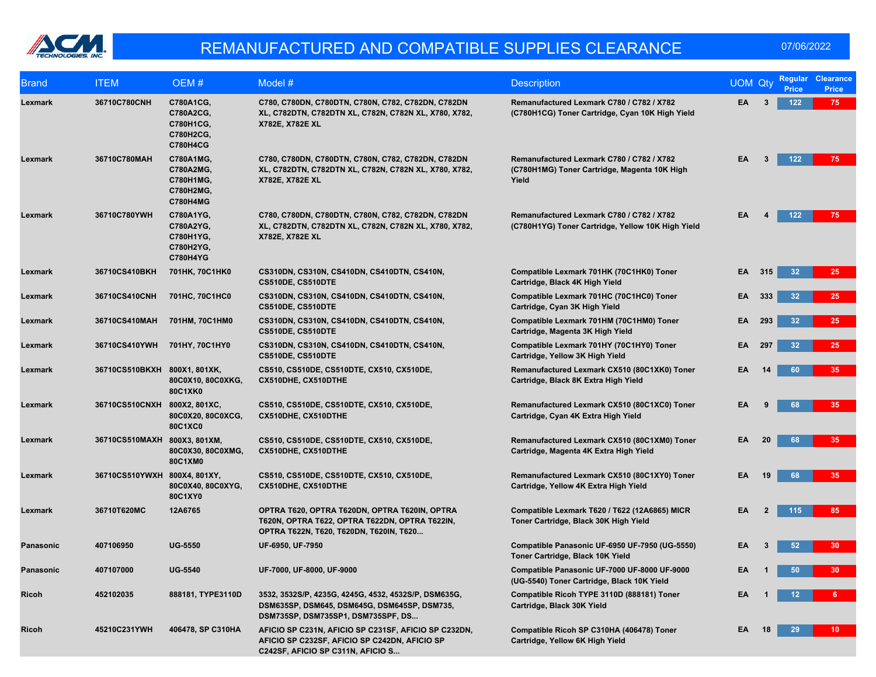

| <b>Brand</b> | <b>ITEM</b>                  | OEM#                                                                | Model #                                                                                                                                    | <b>Description</b>                                                                                 | <b>UOM Qty</b> |     | <b>Price</b>    | Regular Clearance<br><b>Price</b> |
|--------------|------------------------------|---------------------------------------------------------------------|--------------------------------------------------------------------------------------------------------------------------------------------|----------------------------------------------------------------------------------------------------|----------------|-----|-----------------|-----------------------------------|
| Lexmark      | 36710C780CNH                 | C780A1CG,<br>C780A2CG,<br>C780H1CG,<br>C780H2CG,<br><b>C780H4CG</b> | C780, C780DN, C780DTN, C780N, C782, C782DN, C782DN<br>XL, C782DTN, C782DTN XL, C782N, C782N XL, X780, X782,<br>X782E, X782E XL             | Remanufactured Lexmark C780 / C782 / X782<br>(C780H1CG) Toner Cartridge, Cyan 10K High Yield       | EA             | 3   | 122             | 75                                |
| Lexmark      | 36710C780MAH                 | C780A1MG,<br>C780A2MG,<br>C780H1MG,<br>C780H2MG,<br><b>C780H4MG</b> | C780, C780DN, C780DTN, C780N, C782, C782DN, C782DN<br>XL, C782DTN, C782DTN XL, C782N, C782N XL, X780, X782,<br>X782E, X782E XL             | Remanufactured Lexmark C780 / C782 / X782<br>(C780H1MG) Toner Cartridge, Magenta 10K High<br>Yield | EA             | 3   | 122             | 75                                |
| Lexmark      | 36710C780YWH                 | C780A1YG,<br>C780A2YG,<br>C780H1YG,<br>C780H2YG,<br><b>C780H4YG</b> | C780, C780DN, C780DTN, C780N, C782, C782DN, C782DN<br>XL, C782DTN, C782DTN XL, C782N, C782N XL, X780, X782,<br>X782E, X782E XL             | Remanufactured Lexmark C780 / C782 / X782<br>(C780H1YG) Toner Cartridge, Yellow 10K High Yield     | EA             |     | 122             | 75                                |
| Lexmark      | 36710CS410BKH                | 701HK, 70C1HK0                                                      | CS310DN, CS310N, CS410DN, CS410DTN, CS410N,<br>CS510DE, CS510DTE                                                                           | Compatible Lexmark 701HK (70C1HK0) Toner<br>Cartridge, Black 4K High Yield                         | EA.            | 315 | 32              | 25                                |
| Lexmark      | 36710CS410CNH                | 701HC, 70C1HC0                                                      | CS310DN, CS310N, CS410DN, CS410DTN, CS410N,<br>CS510DE, CS510DTE                                                                           | Compatible Lexmark 701HC (70C1HC0) Toner<br>Cartridge, Cyan 3K High Yield                          | EA             | 333 | 32              | 25                                |
| Lexmark      | 36710CS410MAH                | 701HM, 70C1HM0                                                      | CS310DN, CS310N, CS410DN, CS410DTN, CS410N,<br>CS510DE, CS510DTE                                                                           | Compatible Lexmark 701HM (70C1HM0) Toner<br>Cartridge, Magenta 3K High Yield                       | EA             | 293 | 32              | 25                                |
| Lexmark      | 36710CS410YWH                | 701HY, 70C1HY0                                                      | CS310DN, CS310N, CS410DN, CS410DTN, CS410N,<br>CS510DE, CS510DTE                                                                           | Compatible Lexmark 701HY (70C1HY0) Toner<br>Cartridge, Yellow 3K High Yield                        | EA             | 297 | 32              | 25                                |
| Lexmark      | 36710CS510BKXH 800X1, 801XK, | 80C0X10, 80C0XKG,<br>80C1XK0                                        | CS510, CS510DE, CS510DTE, CX510, CX510DE,<br>CX510DHE, CX510DTHE                                                                           | Remanufactured Lexmark CX510 (80C1XK0) Toner<br>Cartridge, Black 8K Extra High Yield               | EA             | 14  | 60              | 35                                |
| Lexmark      | 36710CS510CNXH 800X2, 801XC, | 80C0X20, 80C0XCG,<br>80C1XC0                                        | CS510, CS510DE, CS510DTE, CX510, CX510DE,<br>CX510DHE, CX510DTHE                                                                           | Remanufactured Lexmark CX510 (80C1XC0) Toner<br>Cartridge, Cyan 4K Extra High Yield                | EA             |     | 68              | 35                                |
| Lexmark      | 36710CS510MAXH 800X3, 801XM, | 80C0X30, 80C0XMG,<br>80C1XM0                                        | CS510, CS510DE, CS510DTE, CX510, CX510DE,<br>CX510DHE, CX510DTHE                                                                           | Remanufactured Lexmark CX510 (80C1XM0) Toner<br>Cartridge, Magenta 4K Extra High Yield             | EA             | 20  | 68              | 35                                |
| Lexmark      | 36710CS510YWXH 800X4, 801XY, | 80C0X40, 80C0XYG,<br>80C1XY0                                        | CS510, CS510DE, CS510DTE, CX510, CX510DE,<br>CX510DHE, CX510DTHE                                                                           | Remanufactured Lexmark CX510 (80C1XY0) Toner<br>Cartridge, Yellow 4K Extra High Yield              | EA             | 19  | 68              | 35                                |
| Lexmark      | 36710T620MC                  | 12A6765                                                             | OPTRA T620, OPTRA T620DN, OPTRA T620IN, OPTRA<br>T620N, OPTRA T622, OPTRA T622DN, OPTRA T622IN,<br>OPTRA T622N, T620, T620DN, T620IN, T620 | Compatible Lexmark T620 / T622 (12A6865) MICR<br>Toner Cartridge, Black 30K High Yield             | EA             |     | 115             | 85                                |
| Panasonic    | 407106950                    | <b>UG-5550</b>                                                      | UF-6950, UF-7950                                                                                                                           | Compatible Panasonic UF-6950 UF-7950 (UG-5550)<br>Toner Cartridge, Black 10K Yield                 | EA             |     | 52              | 30 <sub>1</sub>                   |
| Panasonic    | 407107000                    | <b>UG-5540</b>                                                      | UF-7000, UF-8000, UF-9000                                                                                                                  | Compatible Panasonic UF-7000 UF-8000 UF-9000<br>(UG-5540) Toner Cartridge, Black 10K Yield         | EA             |     |                 | 30 <sub>2</sub>                   |
| <b>Ricoh</b> | 452102035                    | 888181, TYPE3110D                                                   | 3532, 3532S/P, 4235G, 4245G, 4532, 4532S/P, DSM635G,<br>DSM635SP, DSM645, DSM645G, DSM645SP, DSM735,<br>DSM735SP, DSM735SP1, DSM735SPF, DS | Compatible Ricoh TYPE 3110D (888181) Toner<br>Cartridge, Black 30K Yield                           | EA             |     | 12 <sup>°</sup> | 6.                                |
| Ricoh        | 45210C231YWH                 | 406478, SP C310HA                                                   | AFICIO SP C231N, AFICIO SP C231SF, AFICIO SP C232DN,<br>AFICIO SP C232SF, AFICIO SP C242DN, AFICIO SP<br>C242SF, AFICIO SP C311N, AFICIO S | Compatible Ricoh SP C310HA (406478) Toner<br>Cartridge, Yellow 6K High Yield                       | EA             | 18  | 29              | 10 <sup>1</sup>                   |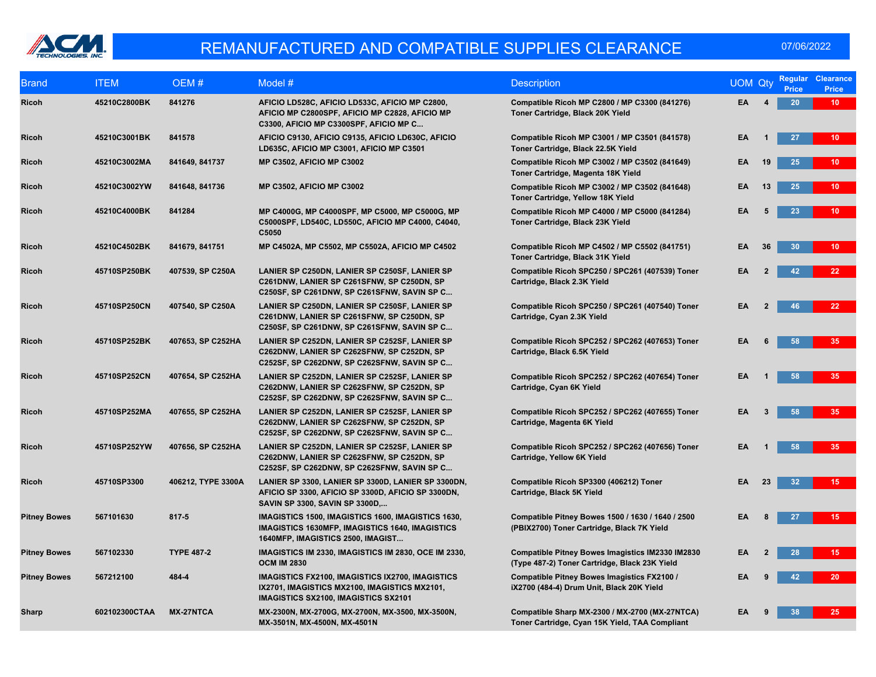

| <b>Brand</b>        | <b>ITEM</b>   | OEM#               | Model $#$                                                                                                                                         | <b>Description</b>                                                                                | <b>UOM Qty</b> |              | <b>Regular</b><br><b>Price</b> | <b>Clearance</b><br><b>Price</b> |
|---------------------|---------------|--------------------|---------------------------------------------------------------------------------------------------------------------------------------------------|---------------------------------------------------------------------------------------------------|----------------|--------------|--------------------------------|----------------------------------|
| <b>Ricoh</b>        | 45210C2800BK  | 841276             | AFICIO LD528C, AFICIO LD533C, AFICIO MP C2800,<br>AFICIO MP C2800SPF, AFICIO MP C2828, AFICIO MP<br>C3300, AFICIO MP C3300SPF, AFICIO MP C        | Compatible Ricoh MP C2800 / MP C3300 (841276)<br>Toner Cartridge, Black 20K Yield                 | EA.            |              | 20                             | $10-1$                           |
| <b>Ricoh</b>        | 45210C3001BK  | 841578             | AFICIO C9130, AFICIO C9135, AFICIO LD630C, AFICIO<br>LD635C, AFICIO MP C3001, AFICIO MP C3501                                                     | Compatible Ricoh MP C3001 / MP C3501 (841578)<br>Toner Cartridge, Black 22.5K Yield               | EA             |              | 27                             | 10 <sub>1</sub>                  |
| <b>Ricoh</b>        | 45210C3002MA  | 841649, 841737     | <b>MP C3502, AFICIO MP C3002</b>                                                                                                                  | Compatible Ricoh MP C3002 / MP C3502 (841649)<br>Toner Cartridge, Magenta 18K Yield               | EΑ             | 19           | 25                             | 10 <sup>°</sup>                  |
| <b>Ricoh</b>        | 45210C3002YW  | 841648, 841736     | <b>MP C3502, AFICIO MP C3002</b>                                                                                                                  | Compatible Ricoh MP C3002 / MP C3502 (841648)<br>Toner Cartridge, Yellow 18K Yield                | EA             | 13           | 25                             | 10 <sub>1</sub>                  |
| <b>Ricoh</b>        | 45210C4000BK  | 841284             | MP C4000G, MP C4000SPF, MP C5000, MP C5000G, MP<br>C5000SPF, LD540C, LD550C, AFICIO MP C4000, C4040,<br>C5050                                     | Compatible Ricoh MP C4000 / MP C5000 (841284)<br>Toner Cartridge, Black 23K Yield                 | EA             |              | 23                             | 10 <sup>°</sup>                  |
| <b>Ricoh</b>        | 45210C4502BK  | 841679, 841751     | MP C4502A, MP C5502, MP C5502A, AFICIO MP C4502                                                                                                   | Compatible Ricoh MP C4502 / MP C5502 (841751)<br>Toner Cartridge, Black 31K Yield                 | EA             | 36           | 30                             | $10-1$                           |
| Ricoh               | 45710SP250BK  | 407539, SP C250A   | LANIER SP C250DN, LANIER SP C250SF, LANIER SP<br>C261DNW, LANIER SP C261SFNW, SP C250DN, SP<br>C250SF, SP C261DNW, SP C261SFNW, SAVIN SP C        | Compatible Ricoh SPC250 / SPC261 (407539) Toner<br>Cartridge, Black 2.3K Yield                    | ΕA             |              | 42                             | 22 <sub>2</sub>                  |
| <b>Ricoh</b>        | 45710SP250CN  | 407540, SP C250A   | LANIER SP C250DN, LANIER SP C250SF, LANIER SP<br>C261DNW, LANIER SP C261SFNW, SP C250DN, SP<br>C250SF, SP C261DNW, SP C261SFNW, SAVIN SP C        | Compatible Ricoh SPC250 / SPC261 (407540) Toner<br>Cartridge, Cyan 2.3K Yield                     | EΑ             | $\mathbf{2}$ | 46                             | 22                               |
| <b>Ricoh</b>        | 45710SP252BK  | 407653, SP C252HA  | LANIER SP C252DN, LANIER SP C252SF, LANIER SP<br>C262DNW, LANIER SP C262SFNW, SP C252DN, SP<br>C252SF, SP C262DNW, SP C262SFNW, SAVIN SP C        | Compatible Ricoh SPC252 / SPC262 (407653) Toner<br>Cartridge, Black 6.5K Yield                    | EA             |              | 58                             | 35                               |
| <b>Ricoh</b>        | 45710SP252CN  | 407654, SP C252HA  | LANIER SP C252DN, LANIER SP C252SF, LANIER SP<br>C262DNW, LANIER SP C262SFNW, SP C252DN, SP<br>C252SF, SP C262DNW, SP C262SFNW, SAVIN SP C        | Compatible Ricoh SPC252 / SPC262 (407654) Toner<br>Cartridge, Cyan 6K Yield                       | EA             |              | 58                             | 35                               |
| <b>Ricoh</b>        | 45710SP252MA  | 407655, SP C252HA  | LANIER SP C252DN, LANIER SP C252SF, LANIER SP<br>C262DNW, LANIER SP C262SFNW, SP C252DN, SP<br>C252SF, SP C262DNW, SP C262SFNW, SAVIN SP C        | Compatible Ricoh SPC252 / SPC262 (407655) Toner<br>Cartridge, Magenta 6K Yield                    | EA             | 3            | 58                             | 35 <sub>1</sub>                  |
| <b>Ricoh</b>        | 45710SP252YW  | 407656, SP C252HA  | LANIER SP C252DN, LANIER SP C252SF, LANIER SP<br>C262DNW, LANIER SP C262SFNW, SP C252DN, SP<br>C252SF, SP C262DNW, SP C262SFNW, SAVIN SP C        | Compatible Ricoh SPC252 / SPC262 (407656) Toner<br>Cartridge, Yellow 6K Yield                     | EA             |              | 58                             | 35                               |
| <b>Ricoh</b>        | 45710SP3300   | 406212, TYPE 3300A | LANIER SP 3300, LANIER SP 3300D, LANIER SP 3300DN,<br>AFICIO SP 3300, AFICIO SP 3300D, AFICIO SP 3300DN,<br>SAVIN SP 3300, SAVIN SP 3300D,        | Compatible Ricoh SP3300 (406212) Toner<br>Cartridge, Black 5K Yield                               | EA             | 23           | 32                             | 15 <sub>1</sub>                  |
| <b>Pitney Bowes</b> | 567101630     | 817-5              | IMAGISTICS 1500, IMAGISTICS 1600, IMAGISTICS 1630,<br><b>IMAGISTICS 1630MFP, IMAGISTICS 1640, IMAGISTICS</b><br>1640MFP, IMAGISTICS 2500, IMAGIST | Compatible Pitney Bowes 1500 / 1630 / 1640 / 2500<br>(PBIX2700) Toner Cartridge, Black 7K Yield   | EA             |              | 27                             | 15                               |
| <b>Pitney Bowes</b> | 567102330     | <b>TYPE 487-2</b>  | IMAGISTICS IM 2330, IMAGISTICS IM 2830, OCE IM 2330,<br><b>OCM IM 2830</b>                                                                        | Compatible Pitney Bowes Imagistics IM2330 IM2830<br>(Type 487-2) Toner Cartridge, Black 23K Yield | EA             |              | 28                             | 15 <sub>1</sub>                  |
| <b>Pitney Bowes</b> | 567212100     | 484-4              | IMAGISTICS FX2100, IMAGISTICS IX2700, IMAGISTICS<br>IX2701, IMAGISTICS MX2100, IMAGISTICS MX2101,<br><b>IMAGISTICS SX2100, IMAGISTICS SX2101</b>  | Compatible Pitney Bowes Imagistics FX2100 /<br>iX2700 (484-4) Drum Unit, Black 20K Yield          | EA             |              | 42                             | 20                               |
| Sharp               | 602102300CTAA | <b>MX-27NTCA</b>   | MX-2300N, MX-2700G, MX-2700N, MX-3500, MX-3500N,<br>MX-3501N, MX-4500N, MX-4501N                                                                  | Compatible Sharp MX-2300 / MX-2700 (MX-27NTCA)<br>Toner Cartridge, Cyan 15K Yield, TAA Compliant  | EA             |              | 38                             | 25 <sub>2</sub>                  |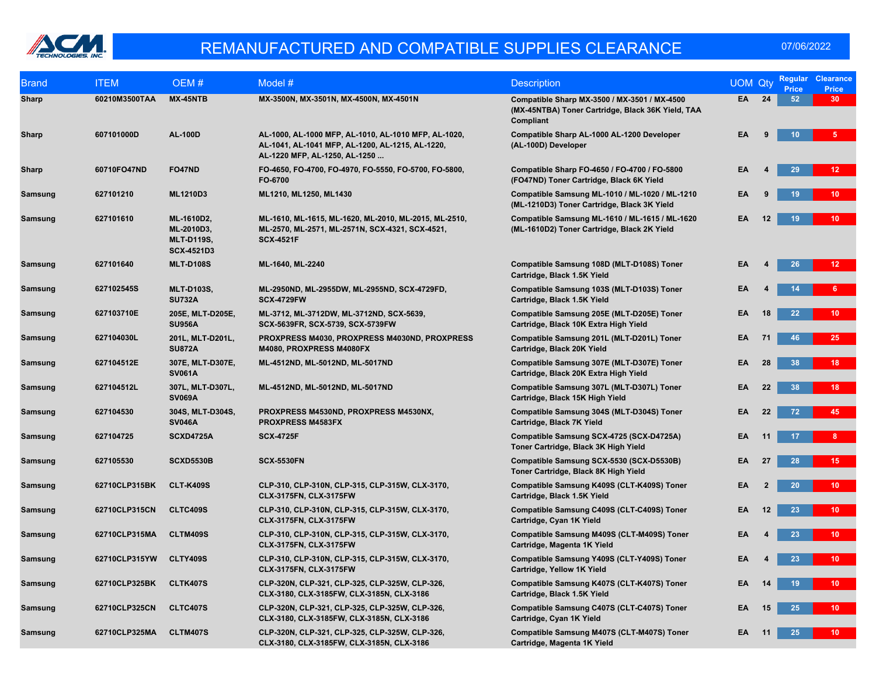

| <b>Brand</b> | <b>ITEM</b>   | OEM#                                                               | Model #                                                                                                                                   | <b>Description</b>                                                                                             | <b>UOM Qty</b> |                | <b>Regular</b><br><b>Price</b> | <b>Clearance</b><br><b>Price</b> |
|--------------|---------------|--------------------------------------------------------------------|-------------------------------------------------------------------------------------------------------------------------------------------|----------------------------------------------------------------------------------------------------------------|----------------|----------------|--------------------------------|----------------------------------|
| Sharp        | 60210M3500TAA | MX-45NTB                                                           | MX-3500N, MX-3501N, MX-4500N, MX-4501N                                                                                                    | Compatible Sharp MX-3500 / MX-3501 / MX-4500<br>(MX-45NTBA) Toner Cartridge, Black 36K Yield, TAA<br>Compliant | <b>EA</b>      | 24             | 52                             | 30 <sub>1</sub>                  |
| <b>Sharp</b> | 607101000D    | <b>AL-100D</b>                                                     | AL-1000, AL-1000 MFP, AL-1010, AL-1010 MFP, AL-1020,<br>AL-1041, AL-1041 MFP, AL-1200, AL-1215, AL-1220,<br>AL-1220 MFP, AL-1250, AL-1250 | Compatible Sharp AL-1000 AL-1200 Developer<br>(AL-100D) Developer                                              | EA             | 9              | 10 <sup>°</sup>                | 5.                               |
| Sharp        | 60710FO47ND   | <b>FO47ND</b>                                                      | FO-4650, FO-4700, FO-4970, FO-5550, FO-5700, FO-5800,<br>FO-6700                                                                          | Compatible Sharp FO-4650 / FO-4700 / FO-5800<br>(FO47ND) Toner Cartridge, Black 6K Yield                       | EA             |                | 29                             | 12 <sub>2</sub>                  |
| Samsung      | 627101210     | <b>ML1210D3</b>                                                    | ML1210, ML1250, ML1430                                                                                                                    | Compatible Samsung ML-1010 / ML-1020 / ML-1210<br>(ML-1210D3) Toner Cartridge, Black 3K Yield                  | EA             |                | 19 <sup>°</sup>                | 10 <sub>1</sub>                  |
| Samsung      | 627101610     | ML-1610D2,<br>ML-2010D3,<br><b>MLT-D119S,</b><br><b>SCX-4521D3</b> | ML-1610, ML-1615, ML-1620, ML-2010, ML-2015, ML-2510,<br>ML-2570, ML-2571, ML-2571N, SCX-4321, SCX-4521,<br><b>SCX-4521F</b>              | Compatible Samsung ML-1610 / ML-1615 / ML-1620<br>(ML-1610D2) Toner Cartridge, Black 2K Yield                  | EA             | 12             | 19                             | 10 <sub>1</sub>                  |
| Samsung      | 627101640     | <b>MLT-D108S</b>                                                   | ML-1640, ML-2240                                                                                                                          | Compatible Samsung 108D (MLT-D108S) Toner<br>Cartridge, Black 1.5K Yield                                       | EA             |                | 26                             | 12 <sub>1</sub>                  |
| Samsung      | 627102545S    | <b>MLT-D103S,</b><br><b>SU732A</b>                                 | ML-2950ND, ML-2955DW, ML-2955ND, SCX-4729FD,<br><b>SCX-4729FW</b>                                                                         | Compatible Samsung 103S (MLT-D103S) Toner<br>Cartridge, Black 1.5K Yield                                       | EA             |                | 14                             | 6                                |
| Samsung      | 627103710E    | 205E, MLT-D205E,<br><b>SU956A</b>                                  | ML-3712, ML-3712DW, ML-3712ND, SCX-5639,<br>SCX-5639FR, SCX-5739, SCX-5739FW                                                              | Compatible Samsung 205E (MLT-D205E) Toner<br>Cartridge, Black 10K Extra High Yield                             | EA             | 18             | 22                             | 10 <sub>1</sub>                  |
| Samsung      | 627104030L    | 201L, MLT-D201L,<br><b>SU872A</b>                                  | PROXPRESS M4030, PROXPRESS M4030ND, PROXPRESS<br>M4080, PROXPRESS M4080FX                                                                 | Compatible Samsung 201L (MLT-D201L) Toner<br>Cartridge, Black 20K Yield                                        | EA             | 71             | 46                             | 25                               |
| Samsung      | 627104512E    | 307E, MLT-D307E,<br><b>SV061A</b>                                  | ML-4512ND, ML-5012ND, ML-5017ND                                                                                                           | Compatible Samsung 307E (MLT-D307E) Toner<br>Cartridge, Black 20K Extra High Yield                             | EA             | 28             | 38                             | 18 <sup>7</sup>                  |
| Samsung      | 627104512L    | 307L, MLT-D307L,<br><b>SV069A</b>                                  | ML-4512ND, ML-5012ND, ML-5017ND                                                                                                           | Compatible Samsung 307L (MLT-D307L) Toner<br>Cartridge, Black 15K High Yield                                   | EA             | 22             | 38                             | 18 <sup>7</sup>                  |
| Samsung      | 627104530     | 304S, MLT-D304S,<br><b>SV046A</b>                                  | PROXPRESS M4530ND, PROXPRESS M4530NX,<br><b>PROXPRESS M4583FX</b>                                                                         | Compatible Samsung 304S (MLT-D304S) Toner<br>Cartridge, Black 7K Yield                                         | EA             | 22             | 72                             | 45                               |
| Samsung      | 627104725     | <b>SCXD4725A</b>                                                   | <b>SCX-4725F</b>                                                                                                                          | Compatible Samsung SCX-4725 (SCX-D4725A)<br>Toner Cartridge, Black 3K High Yield                               | EA             | 11             | 17                             | 8 <sub>1</sub>                   |
| Samsung      | 627105530     | <b>SCXD5530B</b>                                                   | <b>SCX-5530FN</b>                                                                                                                         | Compatible Samsung SCX-5530 (SCX-D5530B)<br>Toner Cartridge, Black 8K High Yield                               | EA             | 27             | 28                             | 15 <sub>1</sub>                  |
| Samsung      | 62710CLP315BK | <b>CLT-K409S</b>                                                   | CLP-310, CLP-310N, CLP-315, CLP-315W, CLX-3170,<br><b>CLX-3175FN, CLX-3175FW</b>                                                          | Compatible Samsung K409S (CLT-K409S) Toner<br>Cartridge, Black 1.5K Yield                                      | EA             | $\overline{2}$ | 20 <sup>°</sup>                | $10-10$                          |
| Samsung      | 62710CLP315CN | <b>CLTC409S</b>                                                    | CLP-310, CLP-310N, CLP-315, CLP-315W, CLX-3170,<br>CLX-3175FN, CLX-3175FW                                                                 | Compatible Samsung C409S (CLT-C409S) Toner<br>Cartridge, Cyan 1K Yield                                         | EA             | 12             | 23                             | $10-10$                          |
| Samsung      | 62710CLP315MA | <b>CLTM409S</b>                                                    | CLP-310, CLP-310N, CLP-315, CLP-315W, CLX-3170,<br><b>CLX-3175FN, CLX-3175FW</b>                                                          | Compatible Samsung M409S (CLT-M409S) Toner<br>Cartridge, Magenta 1K Yield                                      | EA             |                | 23                             | 10 <sup>°</sup>                  |
| Samsung      | 62710CLP315YW | <b>CLTY409S</b>                                                    | CLP-310, CLP-310N, CLP-315, CLP-315W, CLX-3170,<br>CLX-3175FN, CLX-3175FW                                                                 | Compatible Samsung Y409S (CLT-Y409S) Toner<br>Cartridge, Yellow 1K Yield                                       | EA             |                | 23                             | 10 <sub>1</sub>                  |
| Samsung      | 62710CLP325BK | CLTK407S                                                           | CLP-320N, CLP-321, CLP-325, CLP-325W, CLP-326,<br>CLX-3180, CLX-3185FW, CLX-3185N, CLX-3186                                               | Compatible Samsung K407S (CLT-K407S) Toner<br>Cartridge, Black 1.5K Yield                                      | EA             | 14             | 19                             | 10 <sub>1</sub>                  |
| Samsung      | 62710CLP325CN | <b>CLTC407S</b>                                                    | CLP-320N, CLP-321, CLP-325, CLP-325W, CLP-326,<br>CLX-3180, CLX-3185FW, CLX-3185N, CLX-3186                                               | Compatible Samsung C407S (CLT-C407S) Toner<br>Cartridge, Cyan 1K Yield                                         | EA             | 15             | 25                             | 10 <sub>1</sub>                  |
| Samsung      | 62710CLP325MA | <b>CLTM407S</b>                                                    | CLP-320N, CLP-321, CLP-325, CLP-325W, CLP-326,<br>CLX-3180, CLX-3185FW, CLX-3185N, CLX-3186                                               | Compatible Samsung M407S (CLT-M407S) Toner<br>Cartridge, Magenta 1K Yield                                      | EA             | 11             | 25                             | $10-1$                           |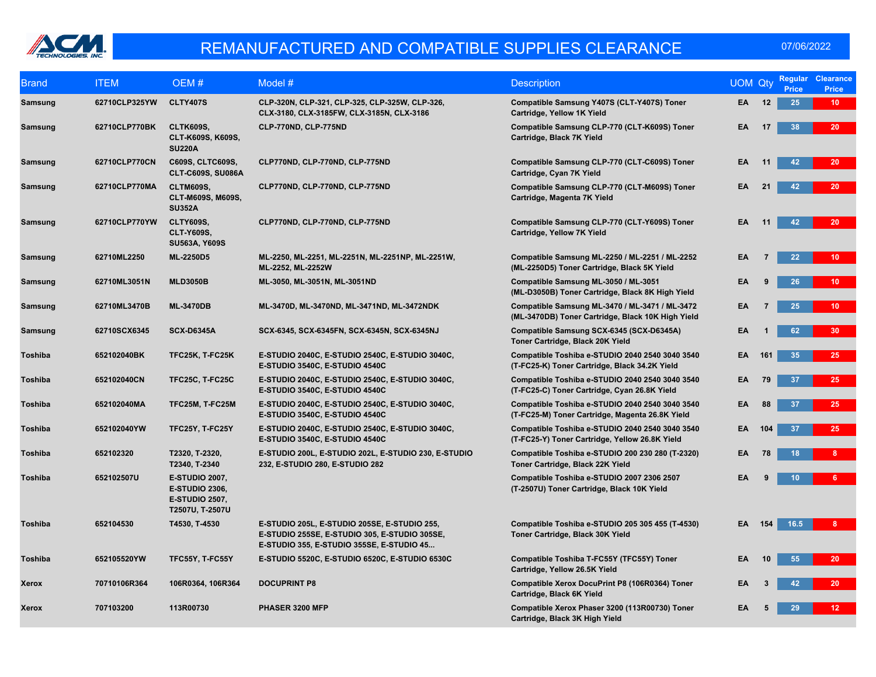

| <b>Brand</b>   | <b>ITEM</b>   | OEM#                                                                                       | Model #                                                                                                                                    | <b>Description</b>                                                                                  | <b>UOM Qty</b> |     | <b>Regular</b><br><b>Price</b> | <b>Clearance</b><br><b>Price</b> |
|----------------|---------------|--------------------------------------------------------------------------------------------|--------------------------------------------------------------------------------------------------------------------------------------------|-----------------------------------------------------------------------------------------------------|----------------|-----|--------------------------------|----------------------------------|
| Samsung        | 62710CLP325YW | <b>CLTY407S</b>                                                                            | CLP-320N, CLP-321, CLP-325, CLP-325W, CLP-326,<br>CLX-3180, CLX-3185FW, CLX-3185N, CLX-3186                                                | Compatible Samsung Y407S (CLT-Y407S) Toner<br>Cartridge, Yellow 1K Yield                            | EA             | 12  | 25                             | 10 <sub>1</sub>                  |
| Samsung        | 62710CLP770BK | <b>CLTK609S,</b><br>CLT-K609S, K609S,<br><b>SU220A</b>                                     | CLP-770ND, CLP-775ND                                                                                                                       | Compatible Samsung CLP-770 (CLT-K609S) Toner<br>Cartridge, Black 7K Yield                           | EA             | 17  | 38                             | 20 <sub>2</sub>                  |
| Samsung        | 62710CLP770CN | C609S, CLTC609S,<br><b>CLT-C609S, SU086A</b>                                               | CLP770ND, CLP-770ND, CLP-775ND                                                                                                             | Compatible Samsung CLP-770 (CLT-C609S) Toner<br>Cartridge, Cyan 7K Yield                            | EA             | 11  | 42                             | 20                               |
| Samsung        | 62710CLP770MA | <b>CLTM609S,</b><br>CLT-M609S, M609S,<br><b>SU352A</b>                                     | CLP770ND, CLP-770ND, CLP-775ND                                                                                                             | Compatible Samsung CLP-770 (CLT-M609S) Toner<br>Cartridge, Magenta 7K Yield                         | EA             | 21  | 42                             | 20 <sub>2</sub>                  |
| Samsung        | 62710CLP770YW | <b>CLTY609S,</b><br><b>CLT-Y609S.</b><br><b>SU563A, Y609S</b>                              | CLP770ND, CLP-770ND, CLP-775ND                                                                                                             | Compatible Samsung CLP-770 (CLT-Y609S) Toner<br>Cartridge, Yellow 7K Yield                          | EΑ             | 11  | 42                             | 20 <sub>2</sub>                  |
| Samsung        | 62710ML2250   | <b>ML-2250D5</b>                                                                           | ML-2250, ML-2251, ML-2251N, ML-2251NP, ML-2251W,<br>ML-2252, ML-2252W                                                                      | Compatible Samsung ML-2250 / ML-2251 / ML-2252<br>(ML-2250D5) Toner Cartridge, Black 5K Yield       | EA             |     | 22                             | 10 <sub>1</sub>                  |
| Samsung        | 62710ML3051N  | <b>MLD3050B</b>                                                                            | ML-3050, ML-3051N, ML-3051ND                                                                                                               | Compatible Samsung ML-3050 / ML-3051<br>(ML-D3050B) Toner Cartridge, Black 8K High Yield            | EA             |     | 26                             | 10 <sub>1</sub>                  |
| Samsung        | 62710ML3470B  | <b>ML-3470DB</b>                                                                           | ML-3470D, ML-3470ND, ML-3471ND, ML-3472NDK                                                                                                 | Compatible Samsung ML-3470 / ML-3471 / ML-3472<br>(ML-3470DB) Toner Cartridge, Black 10K High Yield | EA             | 7   | 25                             | 10 <sub>1</sub>                  |
| Samsung        | 62710SCX6345  | <b>SCX-D6345A</b>                                                                          | SCX-6345, SCX-6345FN, SCX-6345N, SCX-6345NJ                                                                                                | Compatible Samsung SCX-6345 (SCX-D6345A)<br>Toner Cartridge, Black 20K Yield                        | EA             |     | 62                             | 30                               |
| <b>Toshiba</b> | 652102040BK   | TFC25K, T-FC25K                                                                            | E-STUDIO 2040C, E-STUDIO 2540C, E-STUDIO 3040C,<br>E-STUDIO 3540C, E-STUDIO 4540C                                                          | Compatible Toshiba e-STUDIO 2040 2540 3040 3540<br>(T-FC25-K) Toner Cartridge, Black 34.2K Yield    | EA             | 161 | 35                             | 25                               |
| Toshiba        | 652102040CN   | <b>TFC25C, T-FC25C</b>                                                                     | E-STUDIO 2040C, E-STUDIO 2540C, E-STUDIO 3040C,<br>E-STUDIO 3540C, E-STUDIO 4540C                                                          | Compatible Toshiba e-STUDIO 2040 2540 3040 3540<br>(T-FC25-C) Toner Cartridge, Cyan 26.8K Yield     | EΑ             | 79  | 37                             | 25                               |
| <b>Toshiba</b> | 652102040MA   | TFC25M, T-FC25M                                                                            | E-STUDIO 2040C, E-STUDIO 2540C, E-STUDIO 3040C,<br>E-STUDIO 3540C, E-STUDIO 4540C                                                          | Compatible Toshiba e-STUDIO 2040 2540 3040 3540<br>(T-FC25-M) Toner Cartridge, Magenta 26.8K Yield  | EA             | 88  | 37                             | 25                               |
| Toshiba        | 652102040YW   | TFC25Y, T-FC25Y                                                                            | E-STUDIO 2040C, E-STUDIO 2540C, E-STUDIO 3040C,<br>E-STUDIO 3540C, E-STUDIO 4540C                                                          | Compatible Toshiba e-STUDIO 2040 2540 3040 3540<br>(T-FC25-Y) Toner Cartridge, Yellow 26.8K Yield   | EA             | 104 | 37                             | 25                               |
| <b>Toshiba</b> | 652102320     | T2320, T-2320,<br>T2340, T-2340                                                            | E-STUDIO 200L, E-STUDIO 202L, E-STUDIO 230, E-STUDIO<br>232, E-STUDIO 280, E-STUDIO 282                                                    | Compatible Toshiba e-STUDIO 200 230 280 (T-2320)<br>Toner Cartridge, Black 22K Yield                | EA             | 78  |                                | 8 <sup>1</sup>                   |
| Toshiba        | 652102507U    | <b>E-STUDIO 2007,</b><br><b>E-STUDIO 2306,</b><br><b>E-STUDIO 2507,</b><br>T2507U, T-2507U |                                                                                                                                            | Compatible Toshiba e-STUDIO 2007 2306 2507<br>(T-2507U) Toner Cartridge, Black 10K Yield            | EA             |     | 10                             | 6.                               |
| <b>Toshiba</b> | 652104530     | T4530, T-4530                                                                              | E-STUDIO 205L, E-STUDIO 205SE, E-STUDIO 255,<br>E-STUDIO 255SE, E-STUDIO 305, E-STUDIO 305SE,<br>E-STUDIO 355, E-STUDIO 355SE, E-STUDIO 45 | Compatible Toshiba e-STUDIO 205 305 455 (T-4530)<br>Toner Cartridge, Black 30K Yield                | EA 154         |     | 16.5                           | $8 -$                            |
| Toshiba        | 652105520YW   | TFC55Y, T-FC55Y                                                                            | E-STUDIO 5520C, E-STUDIO 6520C, E-STUDIO 6530C                                                                                             | Compatible Toshiba T-FC55Y (TFC55Y) Toner<br>Cartridge, Yellow 26.5K Yield                          | EA             | 10  | 55                             | 20                               |
| Xerox          | 70710106R364  | 106R0364, 106R364                                                                          | <b>DOCUPRINT P8</b>                                                                                                                        | Compatible Xerox DocuPrint P8 (106R0364) Toner<br>Cartridge, Black 6K Yield                         | EA             | 3   | 42                             | 20 <sub>2</sub>                  |
| Xerox          | 707103200     | 113R00730                                                                                  | PHASER 3200 MFP                                                                                                                            | Compatible Xerox Phaser 3200 (113R00730) Toner<br>Cartridge, Black 3K High Yield                    | EΑ             |     | 29                             | 12 <sup>2</sup>                  |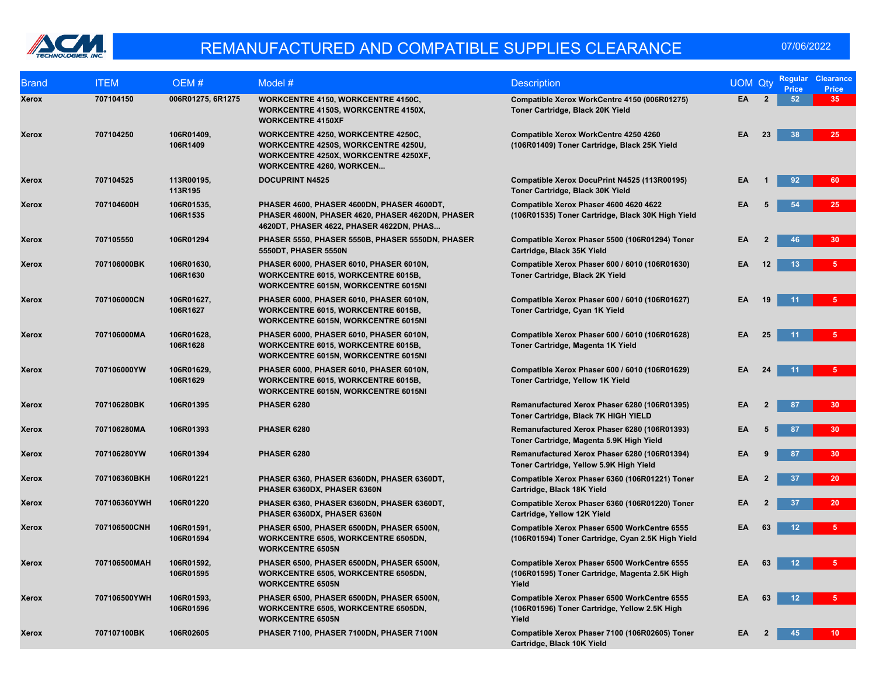

| <b>Brand</b> | <b>ITEM</b>  | OEM#                    | Model #                                                                                                                                                     | <b>Description</b>                                                                                      | <b>UOM Qty</b> |                | Regular<br><b>Price</b> | <b>Clearance</b><br><b>Price</b> |
|--------------|--------------|-------------------------|-------------------------------------------------------------------------------------------------------------------------------------------------------------|---------------------------------------------------------------------------------------------------------|----------------|----------------|-------------------------|----------------------------------|
| Xerox        | 707104150    | 006R01275, 6R1275       | WORKCENTRE 4150, WORKCENTRE 4150C,<br><b>WORKCENTRE 4150S, WORKCENTRE 4150X,</b><br><b>WORKCENTRE 4150XF</b>                                                | Compatible Xerox WorkCentre 4150 (006R01275)<br>Toner Cartridge, Black 20K Yield                        | EA             | $\mathbf{2}$   | 52                      | 35 <sub>1</sub>                  |
| Xerox        | 707104250    | 106R01409,<br>106R1409  | <b>WORKCENTRE 4250, WORKCENTRE 4250C,</b><br>WORKCENTRE 4250S, WORKCENTRE 4250U,<br>WORKCENTRE 4250X, WORKCENTRE 4250XF,<br><b>WORKCENTRE 4260, WORKCEN</b> | Compatible Xerox WorkCentre 4250 4260<br>(106R01409) Toner Cartridge, Black 25K Yield                   | EA             | 23             | 38                      | 25 <sub>2</sub>                  |
| Xerox        | 707104525    | 113R00195,<br>113R195   | <b>DOCUPRINT N4525</b>                                                                                                                                      | Compatible Xerox DocuPrint N4525 (113R00195)<br>Toner Cartridge, Black 30K Yield                        | EA             |                | 92                      | 60                               |
| Xerox        | 707104600H   | 106R01535,<br>106R1535  | PHASER 4600, PHASER 4600DN, PHASER 4600DT,<br>PHASER 4600N, PHASER 4620, PHASER 4620DN, PHASER<br>4620DT, PHASER 4622, PHASER 4622DN, PHAS                  | Compatible Xerox Phaser 4600 4620 4622<br>(106R01535) Toner Cartridge, Black 30K High Yield             | EA             | 5              | 54                      | 25 <sub>2</sub>                  |
| Xerox        | 707105550    | 106R01294               | PHASER 5550, PHASER 5550B, PHASER 5550DN, PHASER<br><b>5550DT, PHASER 5550N</b>                                                                             | Compatible Xerox Phaser 5500 (106R01294) Toner<br>Cartridge, Black 35K Yield                            | EA             | $\overline{2}$ | 46                      | 30 <sub>2</sub>                  |
| Xerox        | 707106000BK  | 106R01630,<br>106R1630  | PHASER 6000, PHASER 6010, PHASER 6010N,<br><b>WORKCENTRE 6015, WORKCENTRE 6015B,</b><br>WORKCENTRE 6015N, WORKCENTRE 6015NI                                 | Compatible Xerox Phaser 600 / 6010 (106R01630)<br>Toner Cartridge, Black 2K Yield                       | EA             | 12             | 13                      | 5.                               |
| Xerox        | 707106000CN  | 106R01627,<br>106R1627  | PHASER 6000, PHASER 6010, PHASER 6010N,<br>WORKCENTRE 6015, WORKCENTRE 6015B,<br><b>WORKCENTRE 6015N, WORKCENTRE 6015NI</b>                                 | Compatible Xerox Phaser 600 / 6010 (106R01627)<br>Toner Cartridge, Cyan 1K Yield                        | EA             | 19             | 11                      | 5.                               |
| Xerox        | 707106000MA  | 106R01628,<br>106R1628  | PHASER 6000, PHASER 6010, PHASER 6010N,<br>WORKCENTRE 6015, WORKCENTRE 6015B,<br><b>WORKCENTRE 6015N, WORKCENTRE 6015NI</b>                                 | Compatible Xerox Phaser 600 / 6010 (106R01628)<br>Toner Cartridge, Magenta 1K Yield                     | EA             | 25             | 11                      |                                  |
| Xerox        | 707106000YW  | 106R01629,<br>106R1629  | PHASER 6000, PHASER 6010, PHASER 6010N,<br><b>WORKCENTRE 6015, WORKCENTRE 6015B,</b><br>WORKCENTRE 6015N, WORKCENTRE 6015NI                                 | Compatible Xerox Phaser 600 / 6010 (106R01629)<br>Toner Cartridge, Yellow 1K Yield                      | EA             | 24             | 11                      | 5 <sup>1</sup>                   |
| Xerox        | 707106280BK  | 106R01395               | PHASER 6280                                                                                                                                                 | Remanufactured Xerox Phaser 6280 (106R01395)<br>Toner Cartridge, Black 7K HIGH YIELD                    | EA             | $\overline{2}$ | 87                      | 30 <sub>2</sub>                  |
| Xerox        | 707106280MA  | 106R01393               | PHASER 6280                                                                                                                                                 | Remanufactured Xerox Phaser 6280 (106R01393)<br>Toner Cartridge, Magenta 5.9K High Yield                | EA             | 5              | 87                      | 30 <sup>°</sup>                  |
| Xerox        | 707106280YW  | 106R01394               | PHASER 6280                                                                                                                                                 | Remanufactured Xerox Phaser 6280 (106R01394)<br>Toner Cartridge, Yellow 5.9K High Yield                 | EA             | 9              | 87                      | 30 <sub>2</sub>                  |
| Xerox        | 707106360BKH | 106R01221               | PHASER 6360, PHASER 6360DN, PHASER 6360DT,<br>PHASER 6360DX, PHASER 6360N                                                                                   | Compatible Xerox Phaser 6360 (106R01221) Toner<br>Cartridge, Black 18K Yield                            | EA             | 2              | 37                      | 20 <sub>2</sub>                  |
| Xerox        | 707106360YWH | 106R01220               | PHASER 6360, PHASER 6360DN, PHASER 6360DT,<br>PHASER 6360DX, PHASER 6360N                                                                                   | Compatible Xerox Phaser 6360 (106R01220) Toner<br>Cartridge, Yellow 12K Yield                           | EA             | $\overline{2}$ | 37                      | 20                               |
| Xerox        | 707106500CNH | 106R01591,<br>106R01594 | PHASER 6500, PHASER 6500DN, PHASER 6500N,<br><b>WORKCENTRE 6505, WORKCENTRE 6505DN,</b><br><b>WORKCENTRE 6505N</b>                                          | Compatible Xerox Phaser 6500 WorkCentre 6555<br>(106R01594) Toner Cartridge, Cyan 2.5K High Yield       | EA             | 63             | 12                      | 5 <sup>1</sup>                   |
| Xerox        | 707106500MAH | 106R01592,<br>106R01595 | PHASER 6500, PHASER 6500DN, PHASER 6500N,<br><b>WORKCENTRE 6505, WORKCENTRE 6505DN,</b><br><b>WORKCENTRE 6505N</b>                                          | Compatible Xerox Phaser 6500 WorkCentre 6555<br>(106R01595) Toner Cartridge, Magenta 2.5K High<br>Yield | EA             | 63             | 12 <sup>2</sup>         |                                  |
| Xerox        | 707106500YWH | 106R01593,<br>106R01596 | PHASER 6500, PHASER 6500DN, PHASER 6500N,<br>WORKCENTRE 6505, WORKCENTRE 6505DN,<br><b>WORKCENTRE 6505N</b>                                                 | Compatible Xerox Phaser 6500 WorkCentre 6555<br>(106R01596) Toner Cartridge, Yellow 2.5K High<br>Yield  | EA             | 63             | 12                      |                                  |
| Xerox        | 707107100BK  | 106R02605               | PHASER 7100, PHASER 7100DN, PHASER 7100N                                                                                                                    | Compatible Xerox Phaser 7100 (106R02605) Toner<br>Cartridge, Black 10K Yield                            | EA             | $\overline{2}$ | 45                      | $10-10$                          |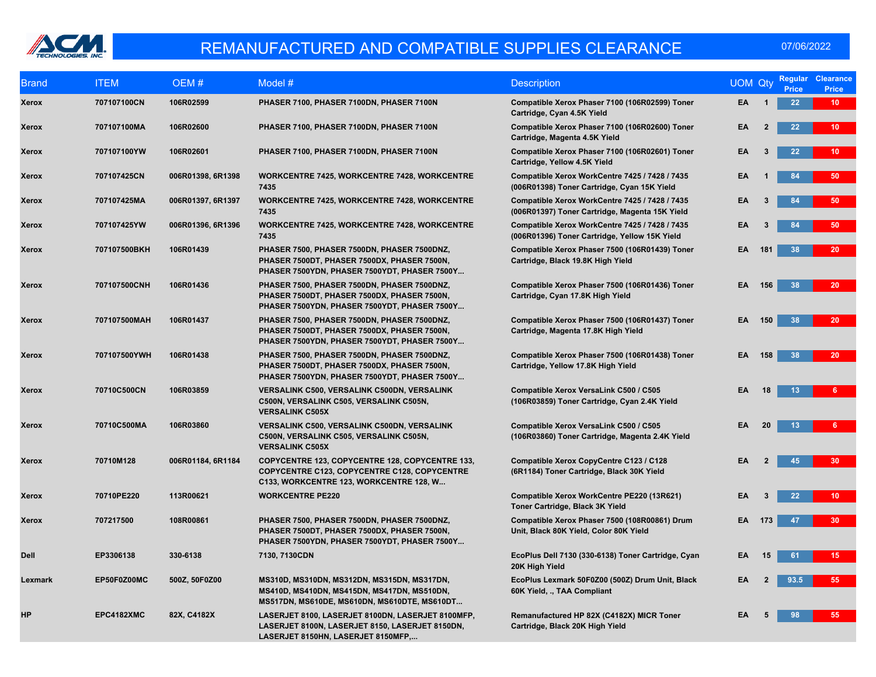

| <b>Brand</b> | <b>ITEM</b>  | OEM#              | Model #                                                                                                                                    | <b>Description</b>                                                                               | <b>UOM Qty</b> |                | <b>Regular</b><br><b>Price</b> | <b>Clearance</b><br>Price |
|--------------|--------------|-------------------|--------------------------------------------------------------------------------------------------------------------------------------------|--------------------------------------------------------------------------------------------------|----------------|----------------|--------------------------------|---------------------------|
| <b>Xerox</b> | 707107100CN  | 106R02599         | PHASER 7100, PHASER 7100DN, PHASER 7100N                                                                                                   | Compatible Xerox Phaser 7100 (106R02599) Toner<br>Cartridge, Cyan 4.5K Yield                     | EA             | $\overline{1}$ | 22                             | 10 <sup>°</sup>           |
| Xerox        | 707107100MA  | 106R02600         | PHASER 7100, PHASER 7100DN, PHASER 7100N                                                                                                   | Compatible Xerox Phaser 7100 (106R02600) Toner<br>Cartridge, Magenta 4.5K Yield                  | EA             | $\overline{2}$ | 22                             | 10 <sup>°</sup>           |
| Xerox        | 707107100YW  | 106R02601         | PHASER 7100, PHASER 7100DN, PHASER 7100N                                                                                                   | Compatible Xerox Phaser 7100 (106R02601) Toner<br>Cartridge, Yellow 4.5K Yield                   | EA             | 3              | 22                             | 10 <sub>1</sub>           |
| Xerox        | 707107425CN  | 006R01398, 6R1398 | <b>WORKCENTRE 7425, WORKCENTRE 7428, WORKCENTRE</b><br>7435                                                                                | Compatible Xerox WorkCentre 7425 / 7428 / 7435<br>(006R01398) Toner Cartridge, Cyan 15K Yield    | EA             |                | 84                             | 50                        |
| Xerox        | 707107425MA  | 006R01397, 6R1397 | <b>WORKCENTRE 7425, WORKCENTRE 7428, WORKCENTRE</b><br>7435                                                                                | Compatible Xerox WorkCentre 7425 / 7428 / 7435<br>(006R01397) Toner Cartridge, Magenta 15K Yield | EA             | 3              | 84                             | 50                        |
| Xerox        | 707107425YW  | 006R01396, 6R1396 | <b>WORKCENTRE 7425, WORKCENTRE 7428, WORKCENTRE</b><br>7435                                                                                | Compatible Xerox WorkCentre 7425 / 7428 / 7435<br>(006R01396) Toner Cartridge, Yellow 15K Yield  | EA             |                | 84                             | 50                        |
| Xerox        | 707107500BKH | 106R01439         | PHASER 7500, PHASER 7500DN, PHASER 7500DNZ,<br>PHASER 7500DT, PHASER 7500DX, PHASER 7500N,<br>PHASER 7500YDN, PHASER 7500YDT, PHASER 7500Y | Compatible Xerox Phaser 7500 (106R01439) Toner<br>Cartridge, Black 19.8K High Yield              | EA             | 181            | 38                             | 20 <sub>2</sub>           |
| Xerox        | 707107500CNH | 106R01436         | PHASER 7500, PHASER 7500DN, PHASER 7500DNZ,<br>PHASER 7500DT, PHASER 7500DX, PHASER 7500N,<br>PHASER 7500YDN, PHASER 7500YDT, PHASER 7500Y | Compatible Xerox Phaser 7500 (106R01436) Toner<br>Cartridge, Cyan 17.8K High Yield               | EA             | 156            | 38                             | 20 <sup>°</sup>           |
| Xerox        | 707107500MAH | 106R01437         | PHASER 7500, PHASER 7500DN, PHASER 7500DNZ,<br>PHASER 7500DT, PHASER 7500DX, PHASER 7500N,<br>PHASER 7500YDN, PHASER 7500YDT, PHASER 7500Y | Compatible Xerox Phaser 7500 (106R01437) Toner<br>Cartridge, Magenta 17.8K High Yield            | EA             | 150            | 38                             | 20                        |
| Xerox        | 707107500YWH | 106R01438         | PHASER 7500, PHASER 7500DN, PHASER 7500DNZ,<br>PHASER 7500DT, PHASER 7500DX, PHASER 7500N,<br>PHASER 7500YDN, PHASER 7500YDT, PHASER 7500Y | Compatible Xerox Phaser 7500 (106R01438) Toner<br>Cartridge, Yellow 17.8K High Yield             | EA             | 158            | 38                             | 20                        |
| Xerox        | 70710C500CN  | 106R03859         | VERSALINK C500, VERSALINK C500DN, VERSALINK<br>C500N, VERSALINK C505, VERSALINK C505N,<br><b>VERSALINK C505X</b>                           | Compatible Xerox VersaLink C500 / C505<br>(106R03859) Toner Cartridge, Cyan 2.4K Yield           | EA             | 18             | 13                             |                           |
| Xerox        | 70710C500MA  | 106R03860         | <b>VERSALINK C500, VERSALINK C500DN, VERSALINK</b><br>C500N, VERSALINK C505, VERSALINK C505N,<br><b>VERSALINK C505X</b>                    | Compatible Xerox VersaLink C500 / C505<br>(106R03860) Toner Cartridge, Magenta 2.4K Yield        | EA             | 20             | 13                             |                           |
| <b>Xerox</b> | 70710M128    | 006R01184, 6R1184 | COPYCENTRE 123, COPYCENTRE 128, COPYCENTRE 133,<br>COPYCENTRE C123, COPYCENTRE C128, COPYCENTRE<br>C133, WORKCENTRE 123, WORKCENTRE 128, W | Compatible Xerox CopyCentre C123 / C128<br>(6R1184) Toner Cartridge, Black 30K Yield             | EA             | $\overline{2}$ | 45                             | 30                        |
| Xerox        | 70710PE220   | 113R00621         | <b>WORKCENTRE PE220</b>                                                                                                                    | Compatible Xerox WorkCentre PE220 (13R621)<br>Toner Cartridge, Black 3K Yield                    | EA             | 3              | 22                             | 10 <sup>1</sup>           |
| Xerox        | 707217500    | 108R00861         | PHASER 7500, PHASER 7500DN, PHASER 7500DNZ,<br>PHASER 7500DT, PHASER 7500DX, PHASER 7500N,<br>PHASER 7500YDN, PHASER 7500YDT, PHASER 7500Y | Compatible Xerox Phaser 7500 (108R00861) Drum<br>Unit, Black 80K Yield, Color 80K Yield          | ΕA             | 173            | 47                             | 30 <sup>°</sup>           |
| <b>Dell</b>  | EP3306138    | 330-6138          | 7130, 7130CDN                                                                                                                              | EcoPlus Dell 7130 (330-6138) Toner Cartridge, Cyan<br>20K High Yield                             | EA             | 15             | 61                             | 15                        |
| Lexmark      | EP50F0Z00MC  | 500Z, 50F0Z00     | MS310D, MS310DN, MS312DN, MS315DN, MS317DN,<br>MS410D, MS410DN, MS415DN, MS417DN, MS510DN,<br>MS517DN, MS610DE, MS610DN, MS610DTE, MS610DT | EcoPlus Lexmark 50F0Z00 (500Z) Drum Unit, Black<br>60K Yield, ., TAA Compliant                   | EA             | $\mathbf{2}$   | 93.5                           | 55                        |
| HP           | EPC4182XMC   | 82X, C4182X       | LASERJET 8100, LASERJET 8100DN, LASERJET 8100MFP,<br>LASERJET 8100N, LASERJET 8150, LASERJET 8150DN,<br>LASERJET 8150HN, LASERJET 8150MFP, | Remanufactured HP 82X (C4182X) MICR Toner<br>Cartridge, Black 20K High Yield                     | EA             |                | 98                             | 55                        |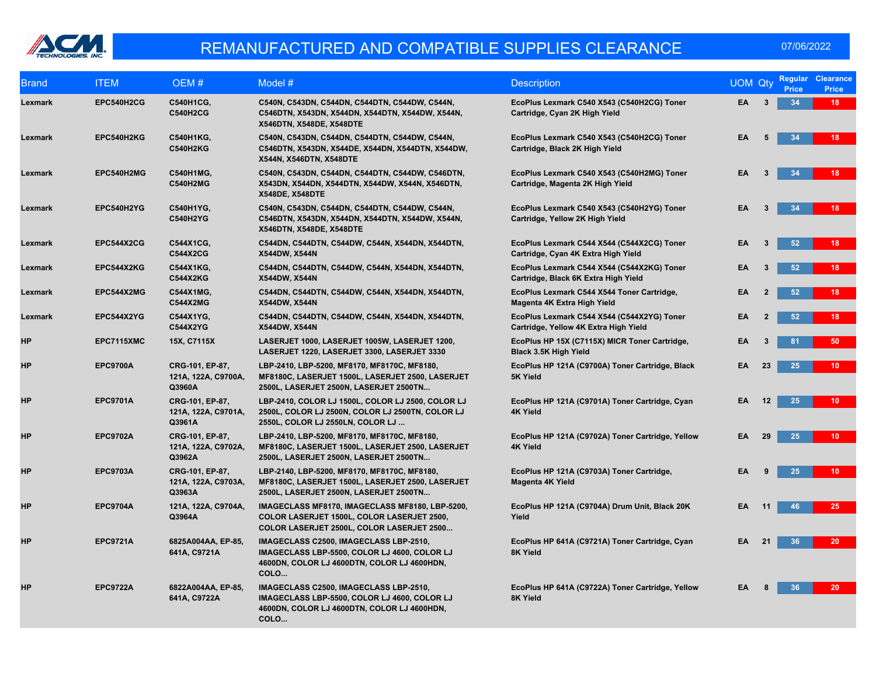

| <b>Brand</b> | <b>ITEM</b>       | OEM#                                             | Model #                                                                                                                                       | <b>Description</b>                                                                  | <b>UOM Qty</b> |              | <b>Regular</b><br><b>Price</b> | <b>Clearance</b><br><b>Price</b> |
|--------------|-------------------|--------------------------------------------------|-----------------------------------------------------------------------------------------------------------------------------------------------|-------------------------------------------------------------------------------------|----------------|--------------|--------------------------------|----------------------------------|
| Lexmark      | EPC540H2CG        | <b>C540H1CG,</b><br><b>C540H2CG</b>              | C540N, C543DN, C544DN, C544DTN, C544DW, C544N,<br>C546DTN, X543DN, X544DN, X544DTN, X544DW, X544N,<br>X546DTN, X548DE, X548DTE                | EcoPlus Lexmark C540 X543 (C540H2CG) Toner<br>Cartridge, Cyan 2K High Yield         | EA             | 3            | 34                             | 18                               |
| Lexmark      | EPC540H2KG        | C540H1KG,<br><b>C540H2KG</b>                     | C540N, C543DN, C544DN, C544DTN, C544DW, C544N,<br>C546DTN, X543DN, X544DE, X544DN, X544DTN, X544DW,<br>X544N, X546DTN, X548DTE                | EcoPlus Lexmark C540 X543 (C540H2CG) Toner<br>Cartridge, Black 2K High Yield        | EA             |              | 34                             | 18                               |
| Lexmark      | EPC540H2MG        | C540H1MG,<br><b>C540H2MG</b>                     | C540N, C543DN, C544DN, C544DTN, C544DW, C546DTN,<br>X543DN, X544DN, X544DTN, X544DW, X544N, X546DTN,<br><b>X548DE, X548DTE</b>                | EcoPlus Lexmark C540 X543 (C540H2MG) Toner<br>Cartridge, Magenta 2K High Yield      | EA             | 3            | 34                             | 18                               |
| Lexmark      | EPC540H2YG        | C540H1YG,<br><b>C540H2YG</b>                     | C540N, C543DN, C544DN, C544DTN, C544DW, C544N,<br>C546DTN, X543DN, X544DN, X544DTN, X544DW, X544N,<br>X546DTN, X548DE, X548DTE                | EcoPlus Lexmark C540 X543 (C540H2YG) Toner<br>Cartridge, Yellow 2K High Yield       | EA             |              | 34                             | 18                               |
| Lexmark      | <b>EPC544X2CG</b> | C544X1CG,<br><b>C544X2CG</b>                     | C544DN, C544DTN, C544DW, C544N, X544DN, X544DTN,<br>X544DW, X544N                                                                             | EcoPlus Lexmark C544 X544 (C544X2CG) Toner<br>Cartridge, Cyan 4K Extra High Yield   | EA             | 3            | 52                             | 18                               |
| Lexmark      | EPC544X2KG        | C544X1KG,<br><b>C544X2KG</b>                     | C544DN, C544DTN, C544DW, C544N, X544DN, X544DTN,<br>X544DW, X544N                                                                             | EcoPlus Lexmark C544 X544 (C544X2KG) Toner<br>Cartridge, Black 6K Extra High Yield  | EA             |              | 52                             | 18                               |
| Lexmark      | EPC544X2MG        | C544X1MG,<br><b>C544X2MG</b>                     | C544DN, C544DTN, C544DW, C544N, X544DN, X544DTN,<br><b>X544DW, X544N</b>                                                                      | EcoPlus Lexmark C544 X544 Toner Cartridge,<br>Magenta 4K Extra High Yield           | EA             | $\mathbf{2}$ | 52                             | 18                               |
| Lexmark      | EPC544X2YG        | C544X1YG,<br>C544X2YG                            | C544DN, C544DTN, C544DW, C544N, X544DN, X544DTN,<br>X544DW, X544N                                                                             | EcoPlus Lexmark C544 X544 (C544X2YG) Toner<br>Cartridge, Yellow 4K Extra High Yield | EA             |              | 52                             | 18                               |
| <b>HP</b>    | EPC7115XMC        | 15X, C7115X                                      | LASERJET 1000, LASERJET 1005W, LASERJET 1200,<br>LASERJET 1220, LASERJET 3300, LASERJET 3330                                                  | EcoPlus HP 15X (C7115X) MICR Toner Cartridge,<br>Black 3.5K High Yield              | EA             |              | 81                             | 50                               |
| <b>HP</b>    | <b>EPC9700A</b>   | CRG-101, EP-87,<br>121A, 122A, C9700A,<br>Q3960A | LBP-2410, LBP-5200, MF8170, MF8170C, MF8180,<br>MF8180C, LASERJET 1500L, LASERJET 2500, LASERJET<br>2500L, LASERJET 2500N, LASERJET 2500TN    | EcoPlus HP 121A (C9700A) Toner Cartridge, Black<br>5K Yield                         | EA             | 23           | 25                             | 10 <sub>1</sub>                  |
| <b>HP</b>    | <b>EPC9701A</b>   | CRG-101, EP-87,<br>121A, 122A, C9701A,<br>Q3961A | LBP-2410, COLOR LJ 1500L, COLOR LJ 2500, COLOR LJ<br>2500L, COLOR LJ 2500N, COLOR LJ 2500TN, COLOR LJ<br>2550L, COLOR LJ 2550LN, COLOR LJ     | EcoPlus HP 121A (C9701A) Toner Cartridge, Cyan<br>4K Yield                          | EA             | 12           | 25                             | 10 <sup>°</sup>                  |
| <b>HP</b>    | <b>EPC9702A</b>   | CRG-101, EP-87,<br>121A, 122A, C9702A,<br>Q3962A | LBP-2410, LBP-5200, MF8170, MF8170C, MF8180,<br>MF8180C, LASERJET 1500L, LASERJET 2500, LASERJET<br>2500L, LASERJET 2500N, LASERJET 2500TN    | EcoPlus HP 121A (C9702A) Toner Cartridge, Yellow<br><b>4K Yield</b>                 | EA             | 29           | 25                             | 10 <sub>1</sub>                  |
| <b>HP</b>    | <b>EPC9703A</b>   | CRG-101, EP-87,<br>121A, 122A, C9703A,<br>Q3963A | LBP-2140, LBP-5200, MF8170, MF8170C, MF8180,<br>MF8180C, LASERJET 1500L, LASERJET 2500, LASERJET<br>2500L, LASERJET 2500N, LASERJET 2500TN    | EcoPlus HP 121A (C9703A) Toner Cartridge,<br>Magenta 4K Yield                       | EA             |              | 25                             | 10 <sup>°</sup>                  |
| <b>HP</b>    | <b>EPC9704A</b>   | 121A, 122A, C9704A,<br>Q3964A                    | IMAGECLASS MF8170, IMAGECLASS MF8180, LBP-5200,<br>COLOR LASERJET 1500L, COLOR LASERJET 2500,<br>COLOR LASERJET 2500L, COLOR LASERJET 2500    | EcoPlus HP 121A (C9704A) Drum Unit, Black 20K<br>Yield                              | EA             | 11           | 46                             | 25                               |
| <b>HP</b>    | <b>EPC9721A</b>   | 6825A004AA, EP-85,<br>641A, C9721A               | IMAGECLASS C2500, IMAGECLASS LBP-2510,<br>IMAGECLASS LBP-5500, COLOR LJ 4600, COLOR LJ<br>4600DN, COLOR LJ 4600DTN, COLOR LJ 4600HDN,<br>COLO | EcoPlus HP 641A (C9721A) Toner Cartridge, Cyan<br>8K Yield                          | EA             | 21           | 36                             | 20 <sub>2</sub>                  |
| <b>HP</b>    | <b>EPC9722A</b>   | 6822A004AA, EP-85,<br>641A, C9722A               | IMAGECLASS C2500, IMAGECLASS LBP-2510,<br>IMAGECLASS LBP-5500, COLOR LJ 4600, COLOR LJ<br>4600DN, COLOR LJ 4600DTN, COLOR LJ 4600HDN,<br>COLO | EcoPlus HP 641A (C9722A) Toner Cartridge, Yellow<br>8K Yield                        | EA             |              | 36                             | 20                               |